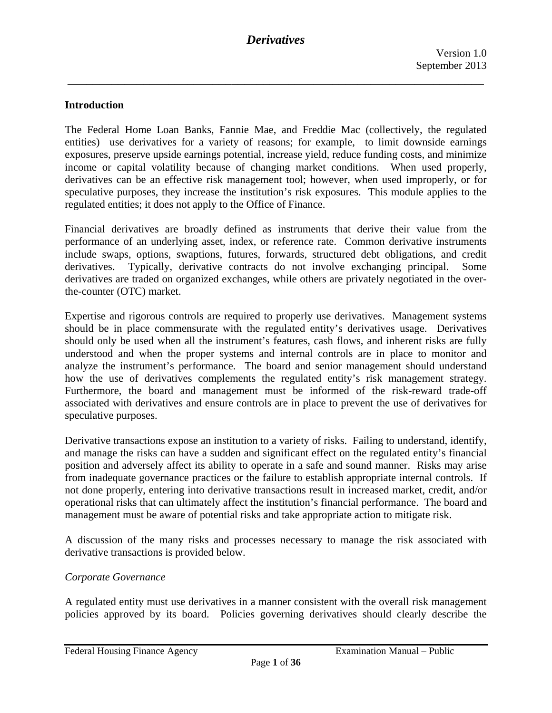### **Introduction**

The Federal Home Loan Banks, Fannie Mae, and Freddie Mac (collectively, the regulated entities) use derivatives for a variety of reasons; for example, to limit downside earnings exposures, preserve upside earnings potential, increase yield, reduce funding costs, and minimize income or capital volatility because of changing market conditions. When used properly, derivatives can be an effective risk management tool; however, when used improperly, or for speculative purposes, they increase the institution's risk exposures. This module applies to the regulated entities; it does not apply to the Office of Finance.

Financial derivatives are broadly defined as instruments that derive their value from the performance of an underlying asset, index, or reference rate. Common derivative instruments include swaps, options, swaptions, futures, forwards, structured debt obligations, and credit derivatives. Typically, derivative contracts do not involve exchanging principal. Some derivatives are traded on organized exchanges, while others are privately negotiated in the overthe-counter (OTC) market.

Expertise and rigorous controls are required to properly use derivatives. Management systems should be in place commensurate with the regulated entity's derivatives usage. Derivatives should only be used when all the instrument's features, cash flows, and inherent risks are fully understood and when the proper systems and internal controls are in place to monitor and analyze the instrument's performance. The board and senior management should understand how the use of derivatives complements the regulated entity's risk management strategy. Furthermore, the board and management must be informed of the risk-reward trade-off associated with derivatives and ensure controls are in place to prevent the use of derivatives for speculative purposes.

Derivative transactions expose an institution to a variety of risks. Failing to understand, identify, and manage the risks can have a sudden and significant effect on the regulated entity's financial position and adversely affect its ability to operate in a safe and sound manner. Risks may arise from inadequate governance practices or the failure to establish appropriate internal controls. If not done properly, entering into derivative transactions result in increased market, credit, and/or operational risks that can ultimately affect the institution's financial performance. The board and management must be aware of potential risks and take appropriate action to mitigate risk.

A discussion of the many risks and processes necessary to manage the risk associated with derivative transactions is provided below.

#### *Corporate Governance*

A regulated entity must use derivatives in a manner consistent with the overall risk management policies approved by its board. Policies governing derivatives should clearly describe the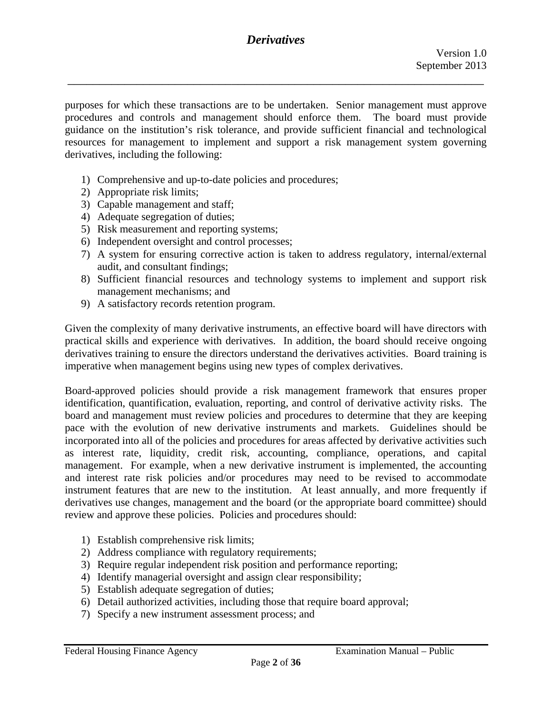\_\_\_\_\_\_\_\_\_\_\_\_\_\_\_\_\_\_\_\_\_\_\_\_\_\_\_\_\_\_\_\_\_\_\_\_\_\_\_\_\_\_\_\_\_\_\_\_\_\_\_\_\_\_\_\_\_\_\_\_\_\_\_\_\_\_

purposes for which these transactions are to be undertaken. Senior management must approve procedures and controls and management should enforce them. The board must provide guidance on the institution's risk tolerance, and provide sufficient financial and technological resources for management to implement and support a risk management system governing derivatives, including the following:

- 1) Comprehensive and up-to-date policies and procedures;
- 2) Appropriate risk limits;
- 3) Capable management and staff;
- 4) Adequate segregation of duties;
- 5) Risk measurement and reporting systems;
- 6) Independent oversight and control processes;
- 7) A system for ensuring corrective action is taken to address regulatory, internal/external audit, and consultant findings;
- 8) Sufficient financial resources and technology systems to implement and support risk management mechanisms; and
- 9) A satisfactory records retention program.

Given the complexity of many derivative instruments, an effective board will have directors with practical skills and experience with derivatives. In addition, the board should receive ongoing derivatives training to ensure the directors understand the derivatives activities. Board training is imperative when management begins using new types of complex derivatives.

Board-approved policies should provide a risk management framework that ensures proper identification, quantification, evaluation, reporting, and control of derivative activity risks. The board and management must review policies and procedures to determine that they are keeping pace with the evolution of new derivative instruments and markets. Guidelines should be incorporated into all of the policies and procedures for areas affected by derivative activities such as interest rate, liquidity, credit risk, accounting, compliance, operations, and capital management. For example, when a new derivative instrument is implemented, the accounting and interest rate risk policies and/or procedures may need to be revised to accommodate instrument features that are new to the institution. At least annually, and more frequently if derivatives use changes, management and the board (or the appropriate board committee) should review and approve these policies. Policies and procedures should:

- 1) Establish comprehensive risk limits;
- 2) Address compliance with regulatory requirements;
- 3) Require regular independent risk position and performance reporting;
- 4) Identify managerial oversight and assign clear responsibility;
- 5) Establish adequate segregation of duties;
- 6) Detail authorized activities, including those that require board approval;
- 7) Specify a new instrument assessment process; and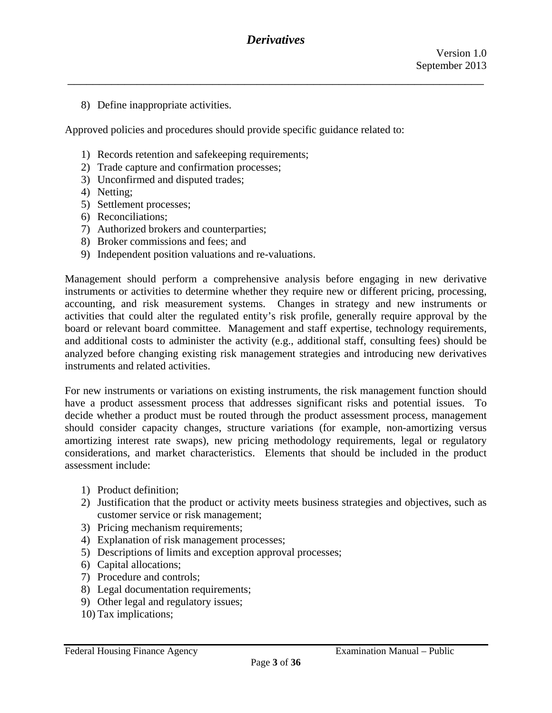8) Define inappropriate activities.

Approved policies and procedures should provide specific guidance related to:

- 1) Records retention and safekeeping requirements;
- 2) Trade capture and confirmation processes;
- 3) Unconfirmed and disputed trades;
- 4) Netting;
- 5) Settlement processes;
- 6) Reconciliations;
- 7) Authorized brokers and counterparties;
- 8) Broker commissions and fees; and
- 9) Independent position valuations and re-valuations.

Management should perform a comprehensive analysis before engaging in new derivative instruments or activities to determine whether they require new or different pricing, processing, accounting, and risk measurement systems. Changes in strategy and new instruments or activities that could alter the regulated entity's risk profile, generally require approval by the board or relevant board committee. Management and staff expertise, technology requirements, and additional costs to administer the activity (e.g., additional staff, consulting fees) should be analyzed before changing existing risk management strategies and introducing new derivatives instruments and related activities.

For new instruments or variations on existing instruments, the risk management function should have a product assessment process that addresses significant risks and potential issues. To decide whether a product must be routed through the product assessment process, management should consider capacity changes, structure variations (for example, non-amortizing versus amortizing interest rate swaps), new pricing methodology requirements, legal or regulatory considerations, and market characteristics. Elements that should be included in the product assessment include:

- 1) Product definition;
- 2) Justification that the product or activity meets business strategies and objectives, such as customer service or risk management;
- 3) Pricing mechanism requirements;
- 4) Explanation of risk management processes;
- 5) Descriptions of limits and exception approval processes;
- 6) Capital allocations;
- 7) Procedure and controls;
- 8) Legal documentation requirements;
- 9) Other legal and regulatory issues;
- 10) Tax implications;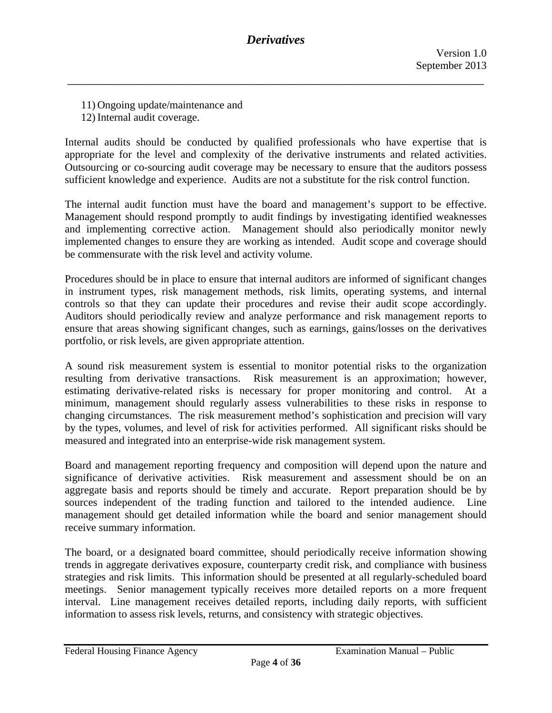- 11) Ongoing update/maintenance and
- 12) Internal audit coverage.

appropriate for the level and complexity of the derivative instruments and related activities. Internal audits should be conducted by qualified professionals who have expertise that is Outsourcing or co-sourcing audit coverage may be necessary to ensure that the auditors possess sufficient knowledge and experience. Audits are not a substitute for the risk control function.

The internal audit function must have the board and management's support to be effective. Management should respond promptly to audit findings by investigating identified weaknesses and implementing corrective action. Management should also periodically monitor newly implemented changes to ensure they are working as intended. Audit scope and coverage should be commensurate with the risk level and activity volume.

Procedures should be in place to ensure that internal auditors are informed of significant changes in instrument types, risk management methods, risk limits, operating systems, and internal controls so that they can update their procedures and revise their audit scope accordingly. Auditors should periodically review and analyze performance and risk management reports to ensure that areas showing significant changes, such as earnings, gains/losses on the derivatives portfolio, or risk levels, are given appropriate attention.

A sound risk measurement system is essential to monitor potential risks to the organization resulting from derivative transactions. Risk measurement is an approximation; however, estimating derivative-related risks is necessary for proper monitoring and control. At a minimum, management should regularly assess vulnerabilities to these risks in response to changing circumstances. The risk measurement method's sophistication and precision will vary by the types, volumes, and level of risk for activities performed. All significant risks should be measured and integrated into an enterprise-wide risk management system.

Board and management reporting frequency and composition will depend upon the nature and significance of derivative activities. Risk measurement and assessment should be on an aggregate basis and reports should be timely and accurate. Report preparation should be by sources independent of the trading function and tailored to the intended audience. Line management should get detailed information while the board and senior management should receive summary information.

The board, or a designated board committee, should periodically receive information showing trends in aggregate derivatives exposure, counterparty credit risk, and compliance with business strategies and risk limits. This information should be presented at all regularly-scheduled board meetings. Senior management typically receives more detailed reports on a more frequent interval. Line management receives detailed reports, including daily reports, with sufficient information to assess risk levels, returns, and consistency with strategic objectives.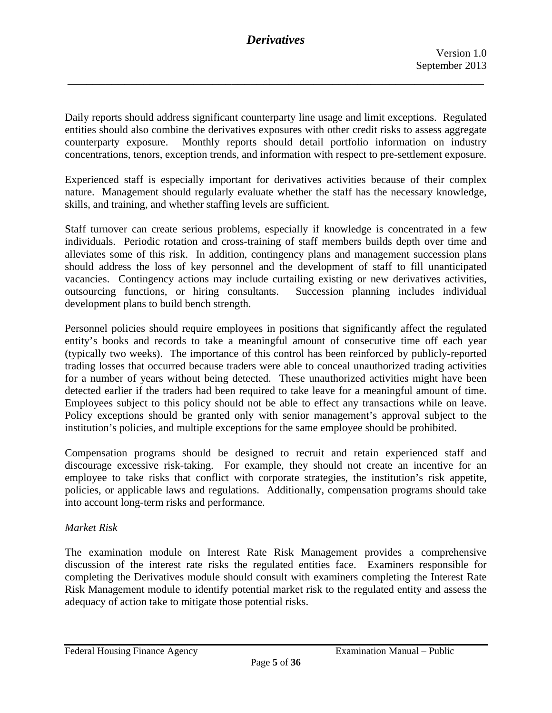Daily reports should address significant counterparty line usage and limit exceptions. Regulated entities should also combine the derivatives exposures with other credit risks to assess aggregate counterparty exposure. Monthly reports should detail portfolio information on industry concentrations, tenors, exception trends, and information with respect to pre-settlement exposure.

Experienced staff is especially important for derivatives activities because of their complex nature. Management should regularly evaluate whether the staff has the necessary knowledge, skills, and training, and whether staffing levels are sufficient.

Staff turnover can create serious problems, especially if knowledge is concentrated in a few individuals. Periodic rotation and cross-training of staff members builds depth over time and alleviates some of this risk. In addition, contingency plans and management succession plans should address the loss of key personnel and the development of staff to fill unanticipated vacancies. Contingency actions may include curtailing existing or new derivatives activities, outsourcing functions, or hiring consultants. Succession planning includes individual development plans to build bench strength.

Personnel policies should require employees in positions that significantly affect the regulated entity's books and records to take a meaningful amount of consecutive time off each year (typically two weeks). The importance of this control has been reinforced by publicly-reported trading losses that occurred because traders were able to conceal unauthorized trading activities for a number of years without being detected. These unauthorized activities might have been detected earlier if the traders had been required to take leave for a meaningful amount of time. Employees subject to this policy should not be able to effect any transactions while on leave. Policy exceptions should be granted only with senior management's approval subject to the institution's policies, and multiple exceptions for the same employee should be prohibited.

Compensation programs should be designed to recruit and retain experienced staff and discourage excessive risk-taking. For example, they should not create an incentive for an employee to take risks that conflict with corporate strategies, the institution's risk appetite, policies, or applicable laws and regulations. Additionally, compensation programs should take into account long-term risks and performance.

### *Market Risk*

The examination module on Interest Rate Risk Management provides a comprehensive discussion of the interest rate risks the regulated entities face. Examiners responsible for completing the Derivatives module should consult with examiners completing the Interest Rate Risk Management module to identify potential market risk to the regulated entity and assess the adequacy of action take to mitigate those potential risks.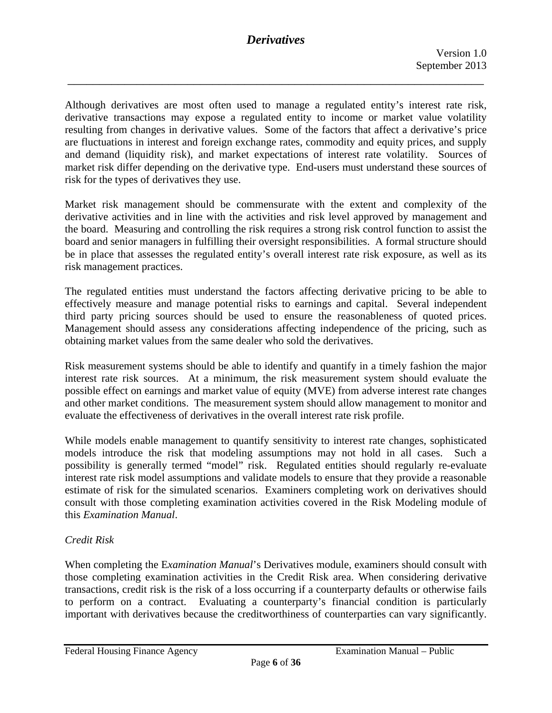\_\_\_\_\_\_\_\_\_\_\_\_\_\_\_\_\_\_\_\_\_\_\_\_\_\_\_\_\_\_\_\_\_\_\_\_\_\_\_\_\_\_\_\_\_\_\_\_\_\_\_\_\_\_\_\_\_\_\_\_\_\_\_\_\_\_

Although derivatives are most often used to manage a regulated entity's interest rate risk, derivative transactions may expose a regulated entity to income or market value volatility resulting from changes in derivative values. Some of the factors that affect a derivative's price are fluctuations in interest and foreign exchange rates, commodity and equity prices, and supply and demand (liquidity risk), and market expectations of interest rate volatility. Sources of market risk differ depending on the derivative type. End-users must understand these sources of risk for the types of derivatives they use.

Market risk management should be commensurate with the extent and complexity of the derivative activities and in line with the activities and risk level approved by management and the board. Measuring and controlling the risk requires a strong risk control function to assist the board and senior managers in fulfilling their oversight responsibilities. A formal structure should be in place that assesses the regulated entity's overall interest rate risk exposure, as well as its risk management practices.

The regulated entities must understand the factors affecting derivative pricing to be able to effectively measure and manage potential risks to earnings and capital. Several independent third party pricing sources should be used to ensure the reasonableness of quoted prices. Management should assess any considerations affecting independence of the pricing, such as obtaining market values from the same dealer who sold the derivatives.

Risk measurement systems should be able to identify and quantify in a timely fashion the major interest rate risk sources. At a minimum, the risk measurement system should evaluate the possible effect on earnings and market value of equity (MVE) from adverse interest rate changes and other market conditions. The measurement system should allow management to monitor and evaluate the effectiveness of derivatives in the overall interest rate risk profile.

While models enable management to quantify sensitivity to interest rate changes, sophisticated models introduce the risk that modeling assumptions may not hold in all cases. Such a possibility is generally termed "model" risk. Regulated entities should regularly re-evaluate interest rate risk model assumptions and validate models to ensure that they provide a reasonable estimate of risk for the simulated scenarios. Examiners completing work on derivatives should consult with those completing examination activities covered in the Risk Modeling module of this *Examination Manual*.

### *Credit Risk*

 important with derivatives because the creditworthiness of counterparties can vary significantly. Federal Housing Finance Agency Examination Manual – Public When completing the E*xamination Manual*'s Derivatives module, examiners should consult with those completing examination activities in the Credit Risk area. When considering derivative transactions, credit risk is the risk of a loss occurring if a counterparty defaults or otherwise fails to perform on a contract. Evaluating a counterparty's financial condition is particularly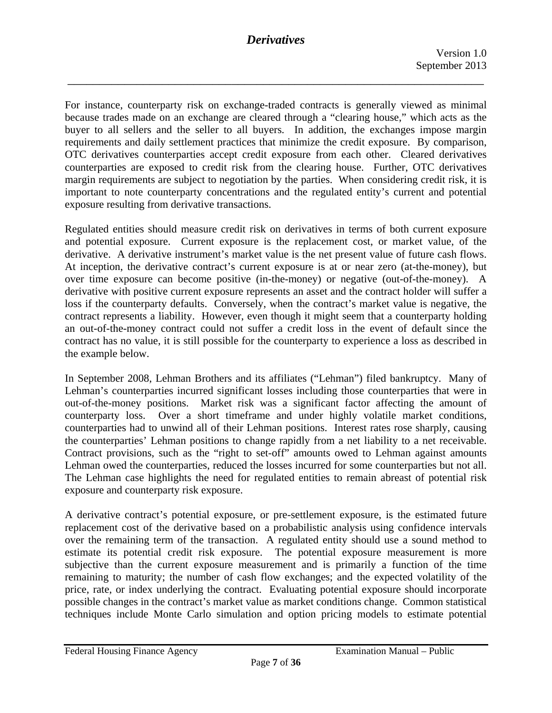\_\_\_\_\_\_\_\_\_\_\_\_\_\_\_\_\_\_\_\_\_\_\_\_\_\_\_\_\_\_\_\_\_\_\_\_\_\_\_\_\_\_\_\_\_\_\_\_\_\_\_\_\_\_\_\_\_\_\_\_\_\_\_\_\_\_

For instance, counterparty risk on exchange-traded contracts is generally viewed as minimal because trades made on an exchange are cleared through a "clearing house," which acts as the buyer to all sellers and the seller to all buyers. In addition, the exchanges impose margin requirements and daily settlement practices that minimize the credit exposure. By comparison, OTC derivatives counterparties accept credit exposure from each other. Cleared derivatives counterparties are exposed to credit risk from the clearing house. Further, OTC derivatives margin requirements are subject to negotiation by the parties. When considering credit risk, it is important to note counterparty concentrations and the regulated entity's current and potential exposure resulting from derivative transactions.

derivative. A derivative instrument's market value is the net present value of future cash flows. Regulated entities should measure credit risk on derivatives in terms of both current exposure and potential exposure. Current exposure is the replacement cost, or market value, of the At inception, the derivative contract's current exposure is at or near zero (at-the-money), but over time exposure can become positive (in-the-money) or negative (out-of-the-money). A derivative with positive current exposure represents an asset and the contract holder will suffer a loss if the counterparty defaults. Conversely, when the contract's market value is negative, the contract represents a liability. However, even though it might seem that a counterparty holding an out-of-the-money contract could not suffer a credit loss in the event of default since the contract has no value, it is still possible for the counterparty to experience a loss as described in the example below.

In September 2008, Lehman Brothers and its affiliates ("Lehman") filed bankruptcy. Many of Lehman's counterparties incurred significant losses including those counterparties that were in out-of-the-money positions. Market risk was a significant factor affecting the amount of counterparty loss. Over a short timeframe and under highly volatile market conditions, counterparties had to unwind all of their Lehman positions. Interest rates rose sharply, causing the counterparties' Lehman positions to change rapidly from a net liability to a net receivable. Contract provisions, such as the "right to set-off" amounts owed to Lehman against amounts Lehman owed the counterparties, reduced the losses incurred for some counterparties but not all. The Lehman case highlights the need for regulated entities to remain abreast of potential risk exposure and counterparty risk exposure.

A derivative contract's potential exposure, or pre-settlement exposure, is the estimated future replacement cost of the derivative based on a probabilistic analysis using confidence intervals over the remaining term of the transaction. A regulated entity should use a sound method to estimate its potential credit risk exposure. The potential exposure measurement is more subjective than the current exposure measurement and is primarily a function of the time remaining to maturity; the number of cash flow exchanges; and the expected volatility of the price, rate, or index underlying the contract. Evaluating potential exposure should incorporate possible changes in the contract's market value as market conditions change. Common statistical techniques include Monte Carlo simulation and option pricing models to estimate potential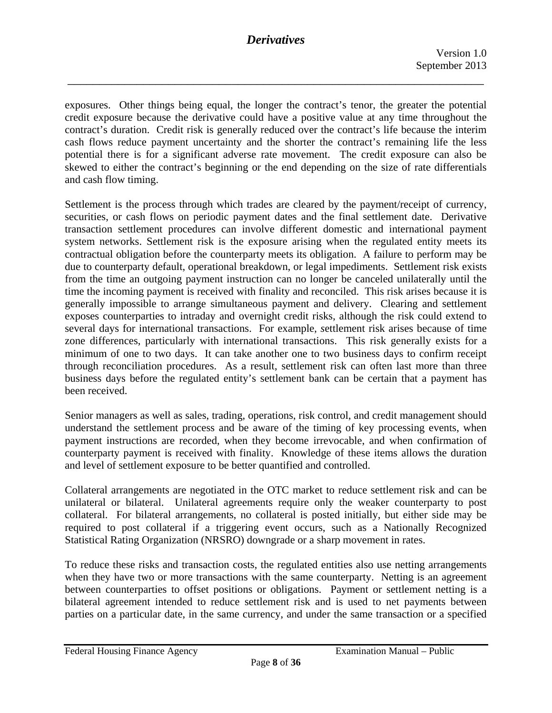\_\_\_\_\_\_\_\_\_\_\_\_\_\_\_\_\_\_\_\_\_\_\_\_\_\_\_\_\_\_\_\_\_\_\_\_\_\_\_\_\_\_\_\_\_\_\_\_\_\_\_\_\_\_\_\_\_\_\_\_\_\_\_\_\_\_

exposures. Other things being equal, the longer the contract's tenor, the greater the potential credit exposure because the derivative could have a positive value at any time throughout the contract's duration. Credit risk is generally reduced over the contract's life because the interim cash flows reduce payment uncertainty and the shorter the contract's remaining life the less potential there is for a significant adverse rate movement. The credit exposure can also be skewed to either the contract's beginning or the end depending on the size of rate differentials and cash flow timing.

Settlement is the process through which trades are cleared by the payment/receipt of currency, securities, or cash flows on periodic payment dates and the final settlement date. Derivative transaction settlement procedures can involve different domestic and international payment system networks. Settlement risk is the exposure arising when the regulated entity meets its contractual obligation before the counterparty meets its obligation. A failure to perform may be due to counterparty default, operational breakdown, or legal impediments. Settlement risk exists from the time an outgoing payment instruction can no longer be canceled unilaterally until the time the incoming payment is received with finality and reconciled. This risk arises because it is generally impossible to arrange simultaneous payment and delivery. Clearing and settlement exposes counterparties to intraday and overnight credit risks, although the risk could extend to several days for international transactions. For example, *s*ettlement risk arises because of time zone differences, particularly with international transactions. This risk generally exists for a minimum of one to two days. It can take another one to two business days to confirm receipt through reconciliation procedures. As a result, settlement risk can often last more than three business days before the regulated entity's settlement bank can be certain that a payment has been received.

Senior managers as well as sales, trading, operations, risk control, and credit management should understand the settlement process and be aware of the timing of key processing events, when payment instructions are recorded, when they become irrevocable, and when confirmation of counterparty payment is received with finality. Knowledge of these items allows the duration and level of settlement exposure to be better quantified and controlled.

Collateral arrangements are negotiated in the OTC market to reduce settlement risk and can be unilateral or bilateral. Unilateral agreements require only the weaker counterparty to post collateral. For bilateral arrangements, no collateral is posted initially, but either side may be required to post collateral if a triggering event occurs, such as a Nationally Recognized Statistical Rating Organization (NRSRO) downgrade or a sharp movement in rates.

To reduce these risks and transaction costs, the regulated entities also use netting arrangements when they have two or more transactions with the same counterparty. Netting is an agreement between counterparties to offset positions or obligations. Payment or settlement netting is a bilateral agreement intended to reduce settlement risk and is used to net payments between parties on a particular date, in the same currency, and under the same transaction or a specified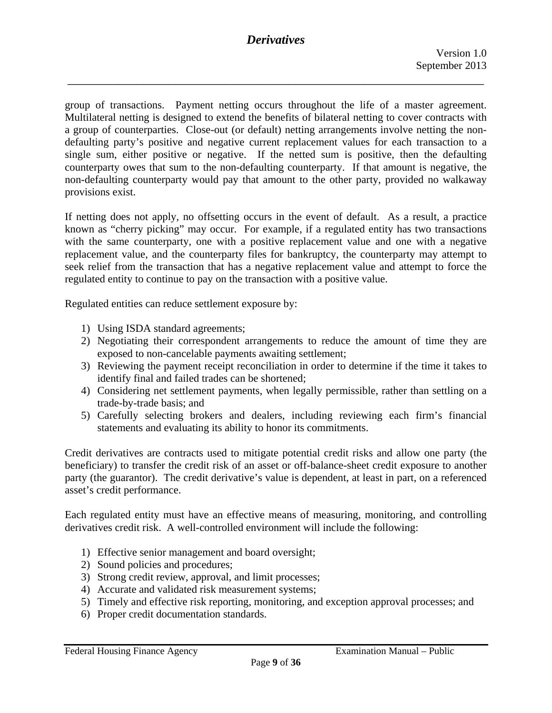\_\_\_\_\_\_\_\_\_\_\_\_\_\_\_\_\_\_\_\_\_\_\_\_\_\_\_\_\_\_\_\_\_\_\_\_\_\_\_\_\_\_\_\_\_\_\_\_\_\_\_\_\_\_\_\_\_\_\_\_\_\_\_\_\_\_

group of transactions. Payment netting occurs throughout the life of a master agreement. Multilateral netting is designed to extend the benefits of bilateral netting to cover contracts with a group of counterparties. Close-out (or default) netting arrangements involve netting the nondefaulting party's positive and negative current replacement values for each transaction to a single sum, either positive or negative. If the netted sum is positive, then the defaulting counterparty owes that sum to the non-defaulting counterparty. If that amount is negative, the non-defaulting counterparty would pay that amount to the other party, provided no walkaway provisions exist.

If netting does not apply, no offsetting occurs in the event of default. As a result, a practice known as "cherry picking" may occur. For example, if a regulated entity has two transactions with the same counterparty, one with a positive replacement value and one with a negative replacement value, and the counterparty files for bankruptcy, the counterparty may attempt to seek relief from the transaction that has a negative replacement value and attempt to force the regulated entity to continue to pay on the transaction with a positive value.

Regulated entities can reduce settlement exposure by:

- 1) Using ISDA standard agreements;
- 2) Negotiating their correspondent arrangements to reduce the amount of time they are exposed to non-cancelable payments awaiting settlement;
- 3) Reviewing the payment receipt reconciliation in order to determine if the time it takes to identify final and failed trades can be shortened;
- 4) Considering net settlement payments, when legally permissible, rather than settling on a trade-by-trade basis; and
- 5) Carefully selecting brokers and dealers, including reviewing each firm's financial statements and evaluating its ability to honor its commitments.

Credit derivatives are contracts used to mitigate potential credit risks and allow one party (the beneficiary) to transfer the credit risk of an asset or off-balance-sheet credit exposure to another party (the guarantor). The credit derivative's value is dependent, at least in part, on a referenced asset's credit performance.

Each regulated entity must have an effective means of measuring, monitoring, and controlling derivatives credit risk. A well-controlled environment will include the following:

- 1) Effective senior management and board oversight;
- 2) Sound policies and procedures;
- 3) Strong credit review, approval, and limit processes;
- 4) Accurate and validated risk measurement systems;
- 5) Timely and effective risk reporting, monitoring, and exception approval processes; and
- 6) Proper credit documentation standards.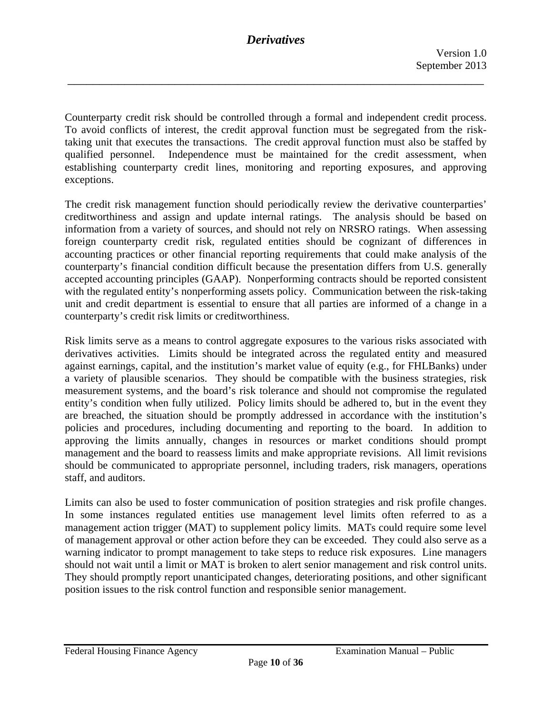Counterparty credit risk should be controlled through a formal and independent credit process. To avoid conflicts of interest, the credit approval function must be segregated from the risktaking unit that executes the transactions. The credit approval function must also be staffed by qualified personnel. Independence must be maintained for the credit assessment, when establishing counterparty credit lines, monitoring and reporting exposures, and approving exceptions.

The credit risk management function should periodically review the derivative counterparties' creditworthiness and assign and update internal ratings. The analysis should be based on information from a variety of sources, and should not rely on NRSRO ratings. When assessing foreign counterparty credit risk, regulated entities should be cognizant of differences in accounting practices or other financial reporting requirements that could make analysis of the counterparty's financial condition difficult because the presentation differs from U.S. generally accepted accounting principles (GAAP). Nonperforming contracts should be reported consistent with the regulated entity's nonperforming assets policy. Communication between the risk-taking unit and credit department is essential to ensure that all parties are informed of a change in a counterparty's credit risk limits or creditworthiness.

Risk limits serve as a means to control aggregate exposures to the various risks associated with derivatives activities. Limits should be integrated across the regulated entity and measured against earnings, capital, and the institution's market value of equity (e.g., for FHLBanks) under a variety of plausible scenarios. They should be compatible with the business strategies, risk measurement systems, and the board's risk tolerance and should not compromise the regulated entity's condition when fully utilized. Policy limits should be adhered to, but in the event they are breached, the situation should be promptly addressed in accordance with the institution's policies and procedures, including documenting and reporting to the board. In addition to approving the limits annually, changes in resources or market conditions should prompt management and the board to reassess limits and make appropriate revisions. All limit revisions should be communicated to appropriate personnel, including traders, risk managers, operations staff, and auditors.

Limits can also be used to foster communication of position strategies and risk profile changes. In some instances regulated entities use management level limits often referred to as a management action trigger (MAT) to supplement policy limits. MATs could require some level of management approval or other action before they can be exceeded. They could also serve as a warning indicator to prompt management to take steps to reduce risk exposures. Line managers should not wait until a limit or MAT is broken to alert senior management and risk control units. They should promptly report unanticipated changes, deteriorating positions, and other significant position issues to the risk control function and responsible senior management.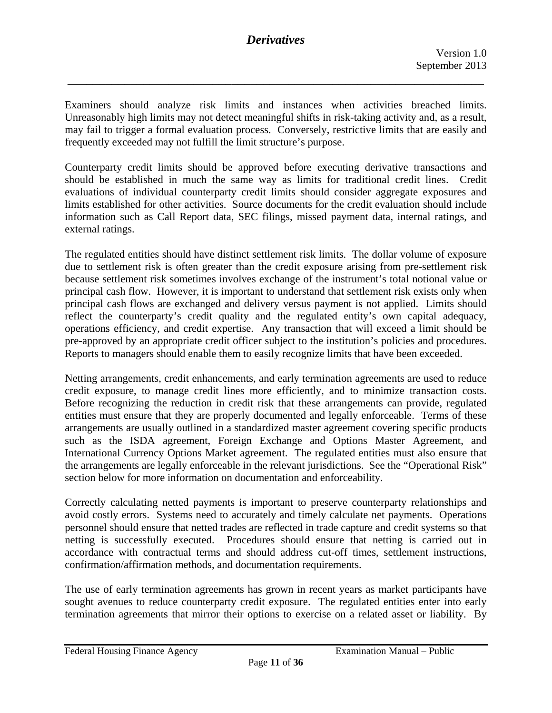\_\_\_\_\_\_\_\_\_\_\_\_\_\_\_\_\_\_\_\_\_\_\_\_\_\_\_\_\_\_\_\_\_\_\_\_\_\_\_\_\_\_\_\_\_\_\_\_\_\_\_\_\_\_\_\_\_\_\_\_\_\_\_\_\_\_

Examiners should analyze risk limits and instances when activities breached limits. Unreasonably high limits may not detect meaningful shifts in risk-taking activity and, as a result, may fail to trigger a formal evaluation process. Conversely, restrictive limits that are easily and frequently exceeded may not fulfill the limit structure's purpose.

Counterparty credit limits should be approved before executing derivative transactions and should be established in much the same way as limits for traditional credit lines. Credit evaluations of individual counterparty credit limits should consider aggregate exposures and limits established for other activities. Source documents for the credit evaluation should include information such as Call Report data, SEC filings, missed payment data, internal ratings, and external ratings.

 pre-approved by an appropriate credit officer subject to the institution's policies and procedures. Reports to managers should enable them to easily recognize limits that have been exceeded. The regulated entities should have distinct settlement risk limits. The dollar volume of exposure due to settlement risk is often greater than the credit exposure arising from pre-settlement risk because settlement risk sometimes involves exchange of the instrument's total notional value or principal cash flow. However, it is important to understand that settlement risk exists only when principal cash flows are exchanged and delivery versus payment is not applied. Limits should reflect the counterparty's credit quality and the regulated entity's own capital adequacy, operations efficiency, and credit expertise. Any transaction that will exceed a limit should be

Netting arrangements, credit enhancements, and early termination agreements are used to reduce credit exposure, to manage credit lines more efficiently, and to minimize transaction costs. Before recognizing the reduction in credit risk that these arrangements can provide, regulated entities must ensure that they are properly documented and legally enforceable. Terms of these arrangements are usually outlined in a standardized master agreement covering specific products such as the ISDA agreement, Foreign Exchange and Options Master Agreement, and International Currency Options Market agreement. The regulated entities must also ensure that the arrangements are legally enforceable in the relevant jurisdictions. See the "Operational Risk" section below for more information on documentation and enforceability.

Correctly calculating netted payments is important to preserve counterparty relationships and avoid costly errors. Systems need to accurately and timely calculate net payments. Operations personnel should ensure that netted trades are reflected in trade capture and credit systems so that netting is successfully executed. Procedures should ensure that netting is carried out in accordance with contractual terms and should address cut-off times, settlement instructions, confirmation/affirmation methods, and documentation requirements.

The use of early termination agreements has grown in recent years as market participants have sought avenues to reduce counterparty credit exposure. The regulated entities enter into early termination agreements that mirror their options to exercise on a related asset or liability. By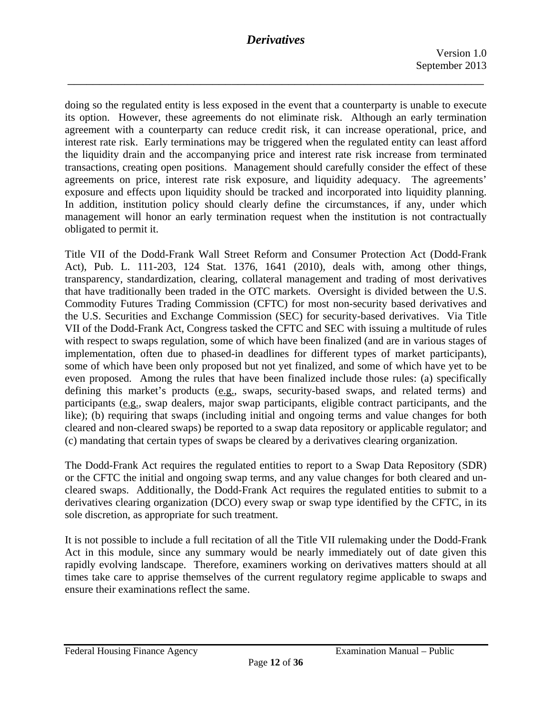\_\_\_\_\_\_\_\_\_\_\_\_\_\_\_\_\_\_\_\_\_\_\_\_\_\_\_\_\_\_\_\_\_\_\_\_\_\_\_\_\_\_\_\_\_\_\_\_\_\_\_\_\_\_\_\_\_\_\_\_\_\_\_\_\_\_

doing so the regulated entity is less exposed in the event that a counterparty is unable to execute its option. However, these agreements do not eliminate risk. Although an early termination agreement with a counterparty can reduce credit risk, it can increase operational, price, and interest rate risk. Early terminations may be triggered when the regulated entity can least afford the liquidity drain and the accompanying price and interest rate risk increase from terminated transactions, creating open positions. Management should carefully consider the effect of these agreements on price, interest rate risk exposure, and liquidity adequacy. The agreements' exposure and effects upon liquidity should be tracked and incorporated into liquidity planning. In addition, institution policy should clearly define the circumstances, if any, under which management will honor an early termination request when the institution is not contractually obligated to permit it.

Title VII of the Dodd-Frank Wall Street Reform and Consumer Protection Act (Dodd-Frank Act), Pub. L. 111-203, 124 Stat. 1376, 1641 (2010), deals with, among other things, transparency, standardization, clearing, collateral management and trading of most derivatives that have traditionally been traded in the OTC markets. Oversight is divided between the U.S. Commodity Futures Trading Commission (CFTC) for most non-security based derivatives and the U.S. Securities and Exchange Commission (SEC) for security-based derivatives. Via Title VII of the Dodd-Frank Act, Congress tasked the CFTC and SEC with issuing a multitude of rules with respect to swaps regulation, some of which have been finalized (and are in various stages of implementation, often due to phased-in deadlines for different types of market participants), some of which have been only proposed but not yet finalized, and some of which have yet to be even proposed. Among the rules that have been finalized include those rules: (a) specifically defining this market's products (e.g., swaps, security-based swaps, and related terms) and participants (e.g., swap dealers, major swap participants, eligible contract participants, and the like); (b) requiring that swaps (including initial and ongoing terms and value changes for both cleared and non-cleared swaps) be reported to a swap data repository or applicable regulator; and (c) mandating that certain types of swaps be cleared by a derivatives clearing organization.

The Dodd-Frank Act requires the regulated entities to report to a Swap Data Repository (SDR) or the CFTC the initial and ongoing swap terms, and any value changes for both cleared and uncleared swaps. Additionally, the Dodd-Frank Act requires the regulated entities to submit to a derivatives clearing organization (DCO) every swap or swap type identified by the CFTC, in its sole discretion, as appropriate for such treatment.

It is not possible to include a full recitation of all the Title VII rulemaking under the Dodd-Frank Act in this module, since any summary would be nearly immediately out of date given this rapidly evolving landscape. Therefore, examiners working on derivatives matters should at all times take care to apprise themselves of the current regulatory regime applicable to swaps and ensure their examinations reflect the same.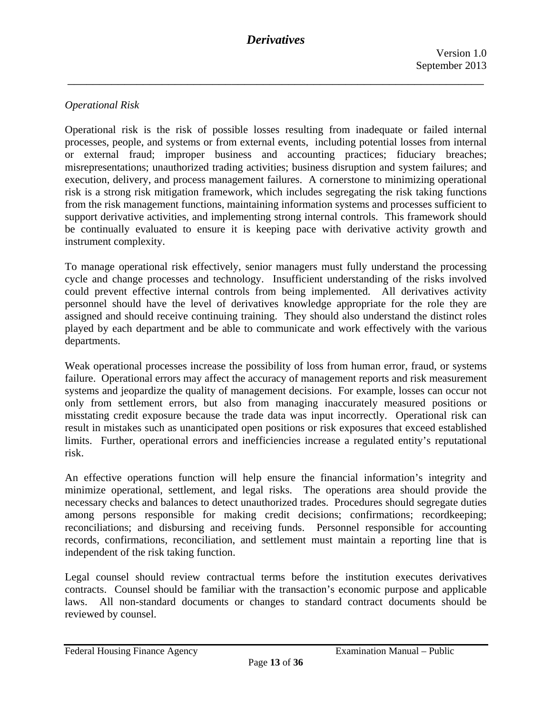### *Operational Risk*

Operational risk is the risk of possible losses resulting from inadequate or failed internal processes, people, and systems or from external events, including potential losses from internal or external fraud; improper business and accounting practices; fiduciary breaches; misrepresentations; unauthorized trading activities; business disruption and system failures; and execution, delivery, and process management failures. A cornerstone to minimizing operational risk is a strong risk mitigation framework, which includes segregating the risk taking functions from the risk management functions, maintaining information systems and processes sufficient to support derivative activities, and implementing strong internal controls. This framework should be continually evaluated to ensure it is keeping pace with derivative activity growth and instrument complexity.

To manage operational risk effectively, senior managers must fully understand the processing cycle and change processes and technology. Insufficient understanding of the risks involved could prevent effective internal controls from being implemented. All derivatives activity personnel should have the level of derivatives knowledge appropriate for the role they are assigned and should receive continuing training. They should also understand the distinct roles played by each department and be able to communicate and work effectively with the various departments.

Weak operational processes increase the possibility of loss from human error, fraud, or systems failure. Operational errors may affect the accuracy of management reports and risk measurement systems and jeopardize the quality of management decisions. For example, losses can occur not only from settlement errors, but also from managing inaccurately measured positions or misstating credit exposure because the trade data was input incorrectly. Operational risk can result in mistakes such as unanticipated open positions or risk exposures that exceed established limits. Further, operational errors and inefficiencies increase a regulated entity's reputational risk.

An effective operations function will help ensure the financial information's integrity and minimize operational, settlement, and legal risks. The operations area should provide the necessary checks and balances to detect unauthorized trades. Procedures should segregate duties among persons responsible for making credit decisions; confirmations; recordkeeping; reconciliations; and disbursing and receiving funds. Personnel responsible for accounting records, confirmations, reconciliation, and settlement must maintain a reporting line that is independent of the risk taking function.

Legal counsel should review contractual terms before the institution executes derivatives contracts. Counsel should be familiar with the transaction's economic purpose and applicable laws. All non-standard documents or changes to standard contract documents should be reviewed by counsel.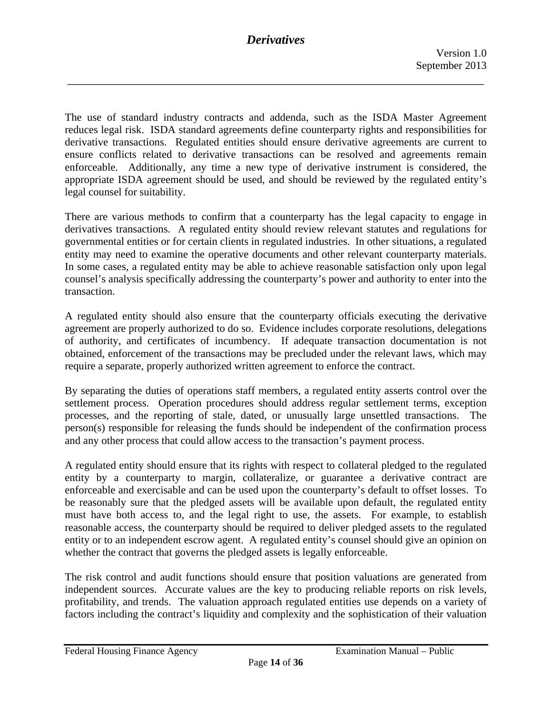\_\_\_\_\_\_\_\_\_\_\_\_\_\_\_\_\_\_\_\_\_\_\_\_\_\_\_\_\_\_\_\_\_\_\_\_\_\_\_\_\_\_\_\_\_\_\_\_\_\_\_\_\_\_\_\_\_\_\_\_\_\_\_\_\_\_

The use of standard industry contracts and addenda, such as the ISDA Master Agreement reduces legal risk. ISDA standard agreements define counterparty rights and responsibilities for derivative transactions. Regulated entities should ensure derivative agreements are current to ensure conflicts related to derivative transactions can be resolved and agreements remain enforceable. Additionally, any time a new type of derivative instrument is considered, the appropriate ISDA agreement should be used, and should be reviewed by the regulated entity's legal counsel for suitability.

There are various methods to confirm that a counterparty has the legal capacity to engage in derivatives transactions. A regulated entity should review relevant statutes and regulations for governmental entities or for certain clients in regulated industries. In other situations, a regulated entity may need to examine the operative documents and other relevant counterparty materials. In some cases, a regulated entity may be able to achieve reasonable satisfaction only upon legal counsel's analysis specifically addressing the counterparty's power and authority to enter into the transaction.

A regulated entity should also ensure that the counterparty officials executing the derivative agreement are properly authorized to do so. Evidence includes corporate resolutions, delegations of authority, and certificates of incumbency. If adequate transaction documentation is not obtained, enforcement of the transactions may be precluded under the relevant laws, which may require a separate, properly authorized written agreement to enforce the contract.

By separating the duties of operations staff members, a regulated entity asserts control over the settlement process. Operation procedures should address regular settlement terms, exception processes, and the reporting of stale, dated, or unusually large unsettled transactions. The person(s) responsible for releasing the funds should be independent of the confirmation process and any other process that could allow access to the transaction's payment process.

A regulated entity should ensure that its rights with respect to collateral pledged to the regulated entity by a counterparty to margin, collateralize, or guarantee a derivative contract are enforceable and exercisable and can be used upon the counterparty's default to offset losses. To be reasonably sure that the pledged assets will be available upon default, the regulated entity must have both access to, and the legal right to use, the assets. For example, to establish reasonable access, the counterparty should be required to deliver pledged assets to the regulated entity or to an independent escrow agent. A regulated entity's counsel should give an opinion on whether the contract that governs the pledged assets is legally enforceable.

The risk control and audit functions should ensure that position valuations are generated from independent sources. Accurate values are the key to producing reliable reports on risk levels, profitability, and trends. The valuation approach regulated entities use depends on a variety of factors including the contract's liquidity and complexity and the sophistication of their valuation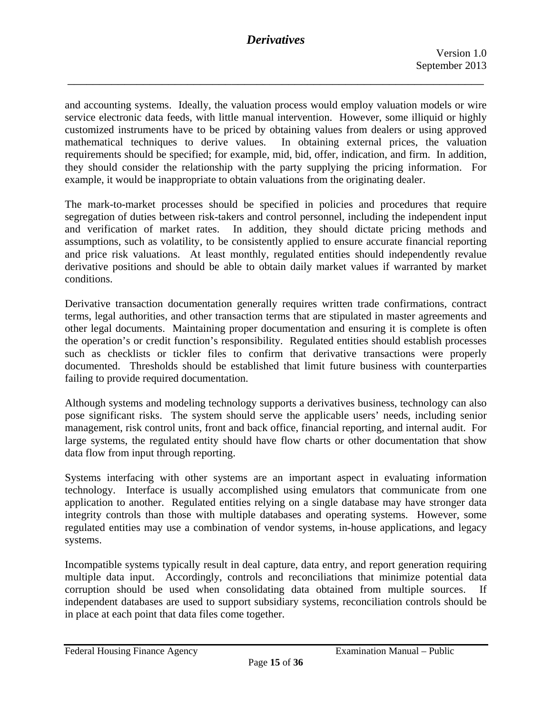\_\_\_\_\_\_\_\_\_\_\_\_\_\_\_\_\_\_\_\_\_\_\_\_\_\_\_\_\_\_\_\_\_\_\_\_\_\_\_\_\_\_\_\_\_\_\_\_\_\_\_\_\_\_\_\_\_\_\_\_\_\_\_\_\_\_

 mathematical techniques to derive values. In obtaining external prices, the valuation and accounting systems. Ideally, the valuation process would employ valuation models or wire service electronic data feeds, with little manual intervention. However, some illiquid or highly customized instruments have to be priced by obtaining values from dealers or using approved requirements should be specified; for example, mid, bid, offer, indication, and firm. In addition, they should consider the relationship with the party supplying the pricing information. For example, it would be inappropriate to obtain valuations from the originating dealer.

The mark-to-market processes should be specified in policies and procedures that require segregation of duties between risk-takers and control personnel, including the independent input and verification of market rates. In addition, they should dictate pricing methods and assumptions, such as volatility, to be consistently applied to ensure accurate financial reporting and price risk valuations. At least monthly, regulated entities should independently revalue derivative positions and should be able to obtain daily market values if warranted by market conditions.

Derivative transaction documentation generally requires written trade confirmations, contract terms, legal authorities, and other transaction terms that are stipulated in master agreements and other legal documents. Maintaining proper documentation and ensuring it is complete is often the operation's or credit function's responsibility. Regulated entities should establish processes such as checklists or tickler files to confirm that derivative transactions were properly documented. Thresholds should be established that limit future business with counterparties failing to provide required documentation.

Although systems and modeling technology supports a derivatives business, technology can also pose significant risks. The system should serve the applicable users' needs, including senior management, risk control units, front and back office, financial reporting, and internal audit. For large systems, the regulated entity should have flow charts or other documentation that show data flow from input through reporting.

Systems interfacing with other systems are an important aspect in evaluating information technology. Interface is usually accomplished using emulators that communicate from one application to another. Regulated entities relying on a single database may have stronger data integrity controls than those with multiple databases and operating systems. However, some regulated entities may use a combination of vendor systems, in-house applications, and legacy systems.

Incompatible systems typically result in deal capture, data entry, and report generation requiring multiple data input. Accordingly, controls and reconciliations that minimize potential data corruption should be used when consolidating data obtained from multiple sources. If independent databases are used to support subsidiary systems, reconciliation controls should be in place at each point that data files come together.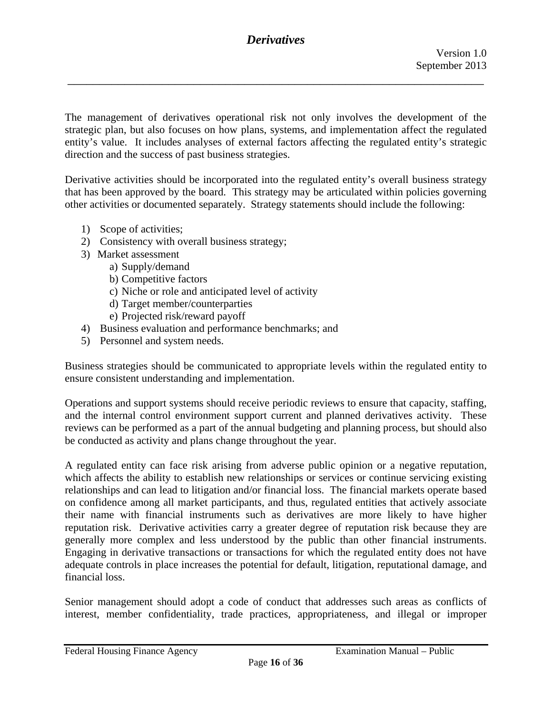\_\_\_\_\_\_\_\_\_\_\_\_\_\_\_\_\_\_\_\_\_\_\_\_\_\_\_\_\_\_\_\_\_\_\_\_\_\_\_\_\_\_\_\_\_\_\_\_\_\_\_\_\_\_\_\_\_\_\_\_\_\_\_\_\_\_

The management of derivatives operational risk not only involves the development of the strategic plan, but also focuses on how plans, systems, and implementation affect the regulated entity's value. It includes analyses of external factors affecting the regulated entity's strategic direction and the success of past business strategies.

Derivative activities should be incorporated into the regulated entity's overall business strategy that has been approved by the board. This strategy may be articulated within policies governing other activities or documented separately. Strategy statements should include the following:

- 1) Scope of activities;
- 2) Consistency with overall business strategy;
- 3) Market assessment
	- a) Supply/demand
	- b) Competitive factors
	- c) Niche or role and anticipated level of activity
	- d) Target member/counterparties
	- e) Projected risk/reward payoff
- 4) Business evaluation and performance benchmarks; and
- 5) Personnel and system needs.

Business strategies should be communicated to appropriate levels within the regulated entity to ensure consistent understanding and implementation.

Operations and support systems should receive periodic reviews to ensure that capacity, staffing, and the internal control environment support current and planned derivatives activity. These reviews can be performed as a part of the annual budgeting and planning process, but should also be conducted as activity and plans change throughout the year.

A regulated entity can face risk arising from adverse public opinion or a negative reputation, which affects the ability to establish new relationships or services or continue servicing existing relationships and can lead to litigation and/or financial loss. The financial markets operate based on confidence among all market participants, and thus, regulated entities that actively associate their name with financial instruments such as derivatives are more likely to have higher reputation risk. Derivative activities carry a greater degree of reputation risk because they are generally more complex and less understood by the public than other financial instruments. Engaging in derivative transactions or transactions for which the regulated entity does not have adequate controls in place increases the potential for default, litigation, reputational damage, and financial loss.

Senior management should adopt a code of conduct that addresses such areas as conflicts of interest, member confidentiality, trade practices, appropriateness, and illegal or improper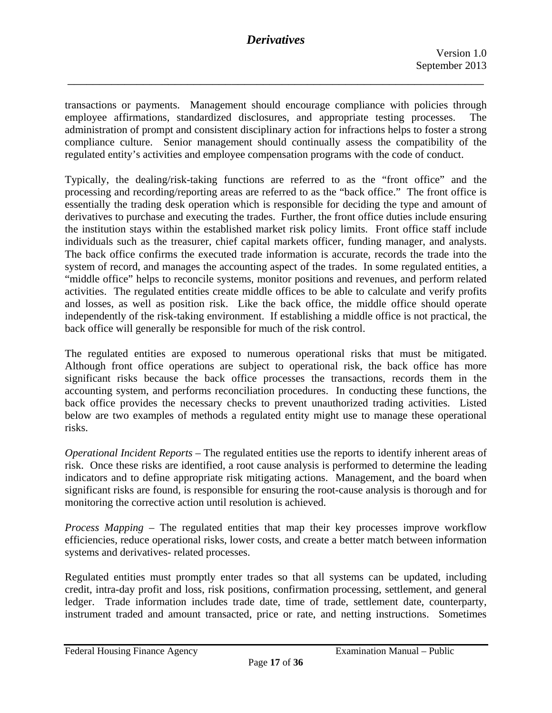\_\_\_\_\_\_\_\_\_\_\_\_\_\_\_\_\_\_\_\_\_\_\_\_\_\_\_\_\_\_\_\_\_\_\_\_\_\_\_\_\_\_\_\_\_\_\_\_\_\_\_\_\_\_\_\_\_\_\_\_\_\_\_\_\_\_

transactions or payments. Management should encourage compliance with policies through employee affirmations, standardized disclosures, and appropriate testing processes. The administration of prompt and consistent disciplinary action for infractions helps to foster a strong compliance culture. Senior management should continually assess the compatibility of the regulated entity's activities and employee compensation programs with the code of conduct.

 derivatives to purchase and executing the trades. Further, the front office duties include ensuring Typically, the dealing/risk-taking functions are referred to as the "front office" and the processing and recording/reporting areas are referred to as the "back office." The front office is essentially the trading desk operation which is responsible for deciding the type and amount of the institution stays within the established market risk policy limits. Front office staff include individuals such as the treasurer, chief capital markets officer, funding manager, and analysts. The back office confirms the executed trade information is accurate, records the trade into the system of record, and manages the accounting aspect of the trades. In some regulated entities, a "middle office" helps to reconcile systems, monitor positions and revenues, and perform related activities. The regulated entities create middle offices to be able to calculate and verify profits and losses, as well as position risk. Like the back office, the middle office should operate independently of the risk-taking environment. If establishing a middle office is not practical, the back office will generally be responsible for much of the risk control.

The regulated entities are exposed to numerous operational risks that must be mitigated. Although front office operations are subject to operational risk, the back office has more significant risks because the back office processes the transactions, records them in the accounting system, and performs reconciliation procedures. In conducting these functions, the back office provides the necessary checks to prevent unauthorized trading activities. Listed below are two examples of methods a regulated entity might use to manage these operational risks.

*Operational Incident Reports* – The regulated entities use the reports to identify inherent areas of risk. Once these risks are identified, a root cause analysis is performed to determine the leading indicators and to define appropriate risk mitigating actions. Management, and the board when significant risks are found, is responsible for ensuring the root-cause analysis is thorough and for monitoring the corrective action until resolution is achieved.

*Process Mapping* – The regulated entities that map their key processes improve workflow efficiencies, reduce operational risks, lower costs, and create a better match between information systems and derivatives- related processes.

Regulated entities must promptly enter trades so that all systems can be updated, including credit, intra-day profit and loss, risk positions, confirmation processing, settlement, and general ledger. Trade information includes trade date, time of trade, settlement date, counterparty, instrument traded and amount transacted, price or rate, and netting instructions. Sometimes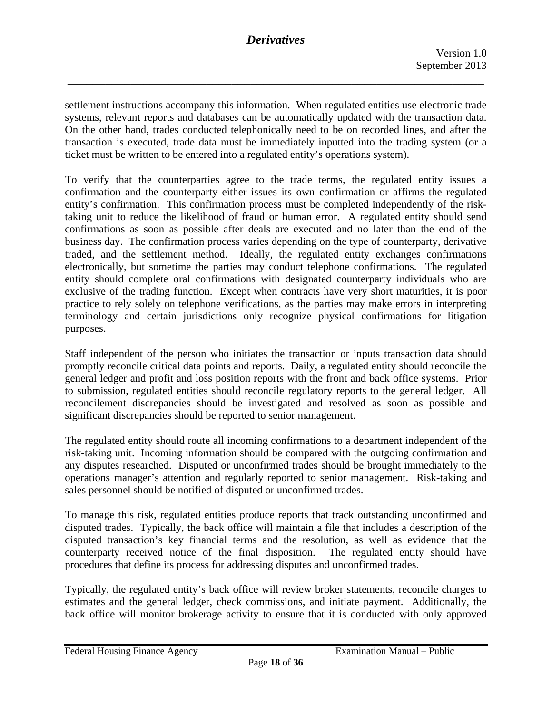\_\_\_\_\_\_\_\_\_\_\_\_\_\_\_\_\_\_\_\_\_\_\_\_\_\_\_\_\_\_\_\_\_\_\_\_\_\_\_\_\_\_\_\_\_\_\_\_\_\_\_\_\_\_\_\_\_\_\_\_\_\_\_\_\_\_

settlement instructions accompany this information. When regulated entities use electronic trade systems, relevant reports and databases can be automatically updated with the transaction data. On the other hand, trades conducted telephonically need to be on recorded lines, and after the transaction is executed, trade data must be immediately inputted into the trading system (or a ticket must be written to be entered into a regulated entity's operations system).

To verify that the counterparties agree to the trade terms, the regulated entity issues a confirmation and the counterparty either issues its own confirmation or affirms the regulated entity's confirmation. This confirmation process must be completed independently of the risktaking unit to reduce the likelihood of fraud or human error. A regulated entity should send confirmations as soon as possible after deals are executed and no later than the end of the business day. The confirmation process varies depending on the type of counterparty, derivative traded, and the settlement method. Ideally, the regulated entity exchanges confirmations electronically, but sometime the parties may conduct telephone confirmations. The regulated entity should complete oral confirmations with designated counterparty individuals who are exclusive of the trading function. Except when contracts have very short maturities, it is poor practice to rely solely on telephone verifications, as the parties may make errors in interpreting terminology and certain jurisdictions only recognize physical confirmations for litigation purposes.

Staff independent of the person who initiates the transaction or inputs transaction data should promptly reconcile critical data points and reports. Daily, a regulated entity should reconcile the general ledger and profit and loss position reports with the front and back office systems. Prior to submission, regulated entities should reconcile regulatory reports to the general ledger. All reconcilement discrepancies should be investigated and resolved as soon as possible and significant discrepancies should be reported to senior management.

The regulated entity should route all incoming confirmations to a department independent of the risk-taking unit. Incoming information should be compared with the outgoing confirmation and any disputes researched. Disputed or unconfirmed trades should be brought immediately to the operations manager's attention and regularly reported to senior management. Risk-taking and sales personnel should be notified of disputed or unconfirmed trades.

To manage this risk, regulated entities produce reports that track outstanding unconfirmed and disputed trades. Typically, the back office will maintain a file that includes a description of the disputed transaction's key financial terms and the resolution, as well as evidence that the counterparty received notice of the final disposition. The regulated entity should have procedures that define its process for addressing disputes and unconfirmed trades.

Typically, the regulated entity's back office will review broker statements, reconcile charges to estimates and the general ledger, check commissions, and initiate payment. Additionally, the back office will monitor brokerage activity to ensure that it is conducted with only approved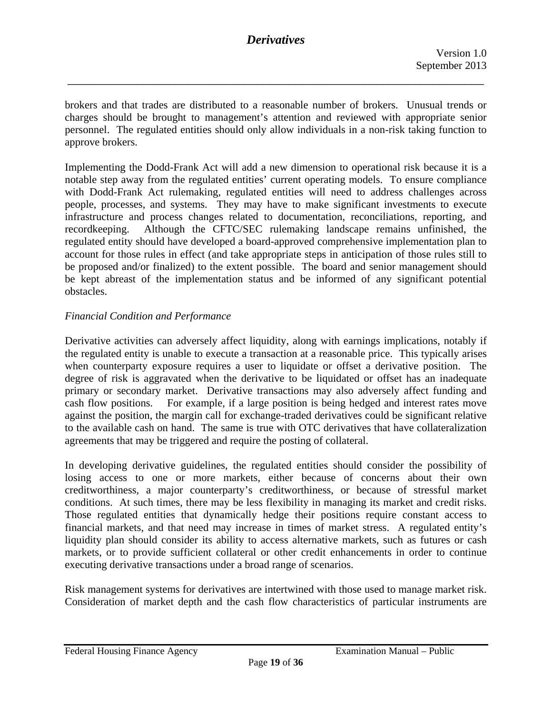\_\_\_\_\_\_\_\_\_\_\_\_\_\_\_\_\_\_\_\_\_\_\_\_\_\_\_\_\_\_\_\_\_\_\_\_\_\_\_\_\_\_\_\_\_\_\_\_\_\_\_\_\_\_\_\_\_\_\_\_\_\_\_\_\_\_

brokers and that trades are distributed to a reasonable number of brokers. Unusual trends or charges should be brought to management's attention and reviewed with appropriate senior personnel. The regulated entities should only allow individuals in a non-risk taking function to approve brokers.

Implementing the Dodd-Frank Act will add a new dimension to operational risk because it is a notable step away from the regulated entities' current operating models. To ensure compliance with Dodd-Frank Act rulemaking, regulated entities will need to address challenges across people, processes, and systems. They may have to make significant investments to execute infrastructure and process changes related to documentation, reconciliations, reporting, and recordkeeping. Although the CFTC/SEC rulemaking landscape remains unfinished, the regulated entity should have developed a board-approved comprehensive implementation plan to account for those rules in effect (and take appropriate steps in anticipation of those rules still to be proposed and/or finalized) to the extent possible. The board and senior management should be kept abreast of the implementation status and be informed of any significant potential obstacles.

#### *Financial Condition and Performance*

Derivative activities can adversely affect liquidity, along with earnings implications, notably if the regulated entity is unable to execute a transaction at a reasonable price. This typically arises when counterparty exposure requires a user to liquidate or offset a derivative position. The degree of risk is aggravated when the derivative to be liquidated or offset has an inadequate primary or secondary market. Derivative transactions may also adversely affect funding and cash flow positions. For example, if a large position is being hedged and interest rates move against the position, the margin call for exchange-traded derivatives could be significant relative to the available cash on hand. The same is true with OTC derivatives that have collateralization agreements that may be triggered and require the posting of collateral.

In developing derivative guidelines, the regulated entities should consider the possibility of losing access to one or more markets, either because of concerns about their own creditworthiness, a major counterparty's creditworthiness, or because of stressful market conditions. At such times, there may be less flexibility in managing its market and credit risks. Those regulated entities that dynamically hedge their positions require constant access to financial markets, and that need may increase in times of market stress. A regulated entity's liquidity plan should consider its ability to access alternative markets, such as futures or cash markets, or to provide sufficient collateral or other credit enhancements in order to continue executing derivative transactions under a broad range of scenarios.

Risk management systems for derivatives are intertwined with those used to manage market risk. Consideration of market depth and the cash flow characteristics of particular instruments are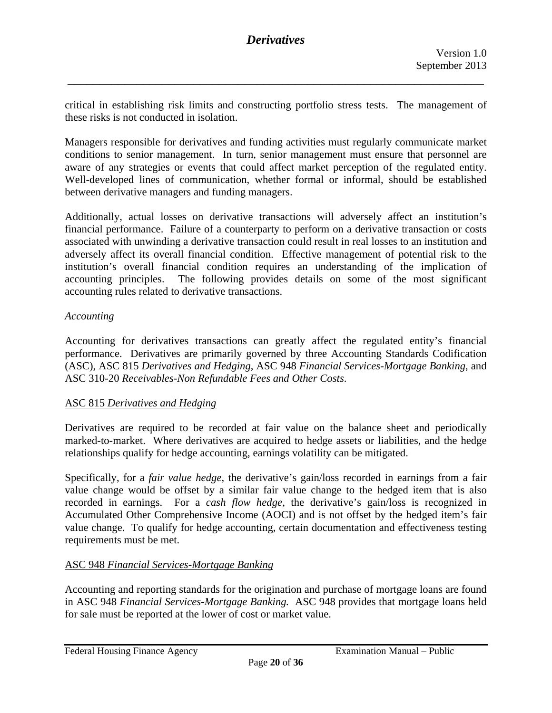critical in establishing risk limits and constructing portfolio stress tests. The management of these risks is not conducted in isolation.

\_\_\_\_\_\_\_\_\_\_\_\_\_\_\_\_\_\_\_\_\_\_\_\_\_\_\_\_\_\_\_\_\_\_\_\_\_\_\_\_\_\_\_\_\_\_\_\_\_\_\_\_\_\_\_\_\_\_\_\_\_\_\_\_\_\_

aware of any strategies or events that could affect market perception of the regulated entity. Managers responsible for derivatives and funding activities must regularly communicate market conditions to senior management. In turn, senior management must ensure that personnel are Well-developed lines of communication, whether formal or informal, should be established between derivative managers and funding managers.

Additionally, actual losses on derivative transactions will adversely affect an institution's financial performance. Failure of a counterparty to perform on a derivative transaction or costs associated with unwinding a derivative transaction could result in real losses to an institution and adversely affect its overall financial condition. Effective management of potential risk to the institution's overall financial condition requires an understanding of the implication of accounting principles. The following provides details on some of the most significant accounting rules related to derivative transactions.

#### *Accounting*

Accounting for derivatives transactions can greatly affect the regulated entity's financial performance. Derivatives are primarily governed by three Accounting Standards Codification (ASC), ASC 815 *Derivatives and Hedging*, ASC 948 *Financial Services-Mortgage Banking*, and ASC 310-20 *Receivables-Non Refundable Fees and Other Costs*.

#### ASC 815 *Derivatives and Hedging*

Derivatives are required to be recorded at fair value on the balance sheet and periodically marked-to-market. Where derivatives are acquired to hedge assets or liabilities, and the hedge relationships qualify for hedge accounting, earnings volatility can be mitigated.

Specifically, for a *fair value hedge*, the derivative's gain/loss recorded in earnings from a fair value change would be offset by a similar fair value change to the hedged item that is also recorded in earnings. For a *cash flow hedge*, the derivative's gain/loss is recognized in Accumulated Other Comprehensive Income (AOCI) and is not offset by the hedged item's fair value change. To qualify for hedge accounting, certain documentation and effectiveness testing requirements must be met.

#### ASC 948 *Financial Services-Mortgage Banking*

Accounting and reporting standards for the origination and purchase of mortgage loans are found in ASC 948 *Financial Services-Mortgage Banking.* ASC 948 provides that mortgage loans held for sale must be reported at the lower of cost or market value.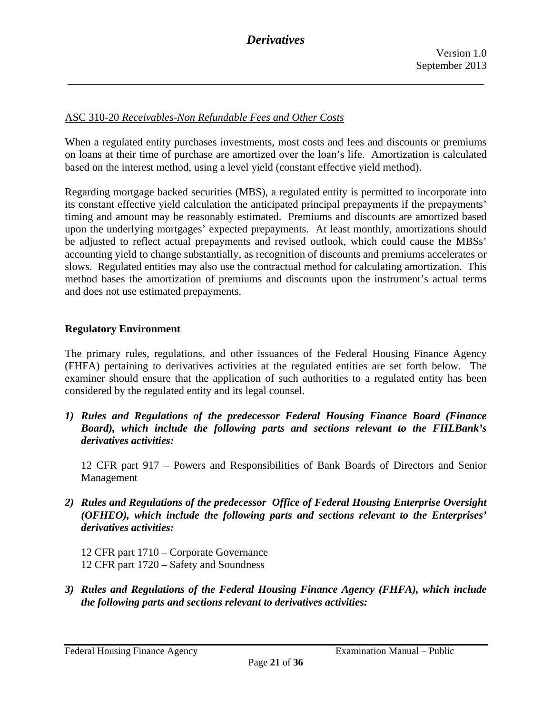#### ASC 310-20 *Receivables-Non Refundable Fees and Other Costs*

When a regulated entity purchases investments, most costs and fees and discounts or premiums on loans at their time of purchase are amortized over the loan's life. Amortization is calculated based on the interest method, using a level yield (constant effective yield method).

Regarding mortgage backed securities (MBS), a regulated entity is permitted to incorporate into its constant effective yield calculation the anticipated principal prepayments if the prepayments' timing and amount may be reasonably estimated. Premiums and discounts are amortized based upon the underlying mortgages' expected prepayments. At least monthly, amortizations should be adjusted to reflect actual prepayments and revised outlook, which could cause the MBSs' accounting yield to change substantially, as recognition of discounts and premiums accelerates or slows. Regulated entities may also use the contractual method for calculating amortization. This method bases the amortization of premiums and discounts upon the instrument's actual terms and does not use estimated prepayments.

#### **Regulatory Environment**

The primary rules, regulations, and other issuances of the Federal Housing Finance Agency (FHFA) pertaining to derivatives activities at the regulated entities are set forth below. The examiner should ensure that the application of such authorities to a regulated entity has been considered by the regulated entity and its legal counsel.

*1) Rules and Regulations of the predecessor Federal Housing Finance Board (Finance Board), which include the following parts and sections relevant to the FHLBank's derivatives activities:* 

12 CFR part 917 – Powers and Responsibilities of Bank Boards of Directors and Senior Management

- *2) Rules and Regulations of the predecessor Office of Federal Housing Enterprise Oversight (OFHEO), which include the following parts and sections relevant to the Enterprises' derivatives activities:* 
	- 12 CFR part 1710 Corporate Governance 12 CFR part 1720 – Safety and Soundness
- *3) Rules and Regulations of the Federal Housing Finance Agency (FHFA), which include the following parts and sections relevant to derivatives activities:*

Federal Housing Finance Agency **Examination Manual** – Public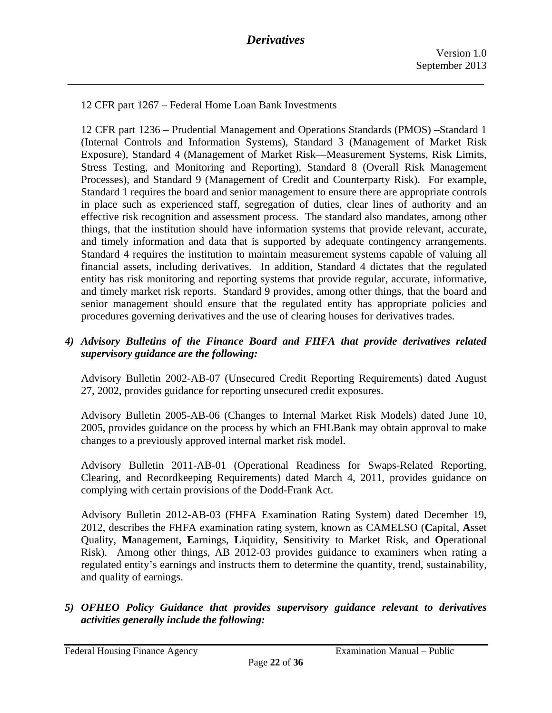12 CFR part 1267 – Federal Home Loan Bank Investments

12 CFR part 1236 – Prudential Management and Operations Standards (PMOS) –Standard 1 (Internal Controls and Information Systems), Standard 3 (Management of Market Risk Exposure), Standard 4 (Management of Market Risk—Measurement Systems, Risk Limits, Stress Testing, and Monitoring and Reporting), Standard 8 (Overall Risk Management Processes), and Standard 9 (Management of Credit and Counterparty Risk). For example, Standard 1 requires the board and senior management to ensure there are appropriate controls in place such as experienced staff, segregation of duties, clear lines of authority and an effective risk recognition and assessment process. The standard also mandates, among other things, that the institution should have information systems that provide relevant, accurate, and timely information and data that is supported by adequate contingency arrangements. Standard 4 requires the institution to maintain measurement systems capable of valuing all financial assets, including derivatives. In addition, Standard 4 dictates that the regulated entity has risk monitoring and reporting systems that provide regular, accurate, informative, and timely market risk reports. Standard 9 provides, among other things, that the board and senior management should ensure that the regulated entity has appropriate policies and procedures governing derivatives and the use of clearing houses for derivatives trades.

### *4) Advisory Bulletins of the Finance Board and FHFA that provide derivatives related supervisory guidance are the following:*

Advisory Bulletin 2002-AB-07 (Unsecured Credit Reporting Requirements) dated August 27, 2002, provides guidance for reporting unsecured credit exposures.

Advisory Bulletin 2005-AB-06 (Changes to Internal Market Risk Models) dated June 10, 2005, provides guidance on the process by which an FHLBank may obtain approval to make changes to a previously approved internal market risk model.

Advisory Bulletin 2011-AB-01 (Operational Readiness for Swaps-Related Reporting, Clearing, and Recordkeeping Requirements) dated March 4, 2011, provides guidance on complying with certain provisions of the Dodd-Frank Act.

Advisory Bulletin 2012-AB-03 (FHFA Examination Rating System) dated December 19, 2012, describes the FHFA examination rating system, known as CAMELSO (**C**apital, **A**sset Quality, **M**anagement, **E**arnings, **L**iquidity, **S**ensitivity to Market Risk, and **O**perational Risk). Among other things, AB 2012-03 provides guidance to examiners when rating a regulated entity's earnings and instructs them to determine the quantity, trend, sustainability, and quality of earnings.

*5) OFHEO Policy Guidance that provides supervisory guidance relevant to derivatives activities generally include the following:* 

Federal Housing Finance Agency **Examination Manual** – Public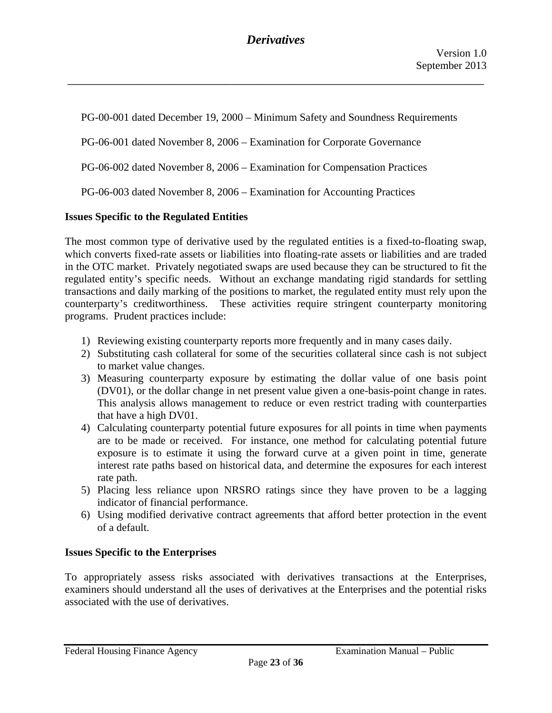PG-00-001 dated December 19, 2000 *–* Minimum Safety and Soundness Requirements

PG-06-001 dated November 8, 2006 – Examination for Corporate Governance

PG-06-002 dated November 8, 2006 – Examination for Compensation Practices

PG-06-003 dated November 8, 2006 – Examination for Accounting Practices

### **Issues Specific to the Regulated Entities**

The most common type of derivative used by the regulated entities is a fixed-to-floating swap, which converts fixed-rate assets or liabilities into floating-rate assets or liabilities and are traded in the OTC market. Privately negotiated swaps are used because they can be structured to fit the regulated entity's specific needs. Without an exchange mandating rigid standards for settling transactions and daily marking of the positions to market, the regulated entity must rely upon the counterparty's creditworthiness. These activities require stringent counterparty monitoring programs. Prudent practices include:

- 1) Reviewing existing counterparty reports more frequently and in many cases daily.
- 2) Substituting cash collateral for some of the securities collateral since cash is not subject to market value changes.
- 3) Measuring counterparty exposure by estimating the dollar value of one basis point (DV01), or the dollar change in net present value given a one-basis-point change in rates. This analysis allows management to reduce or even restrict trading with counterparties that have a high DV01.
- 4) Calculating counterparty potential future exposures for all points in time when payments are to be made or received. For instance, one method for calculating potential future exposure is to estimate it using the forward curve at a given point in time, generate interest rate paths based on historical data, and determine the exposures for each interest rate path.
- 5) Placing less reliance upon NRSRO ratings since they have proven to be a lagging indicator of financial performance.
- 6) Using modified derivative contract agreements that afford better protection in the event of a default.

### **Issues Specific to the Enterprises**

To appropriately assess risks associated with derivatives transactions at the Enterprises, examiners should understand all the uses of derivatives at the Enterprises and the potential risks associated with the use of derivatives.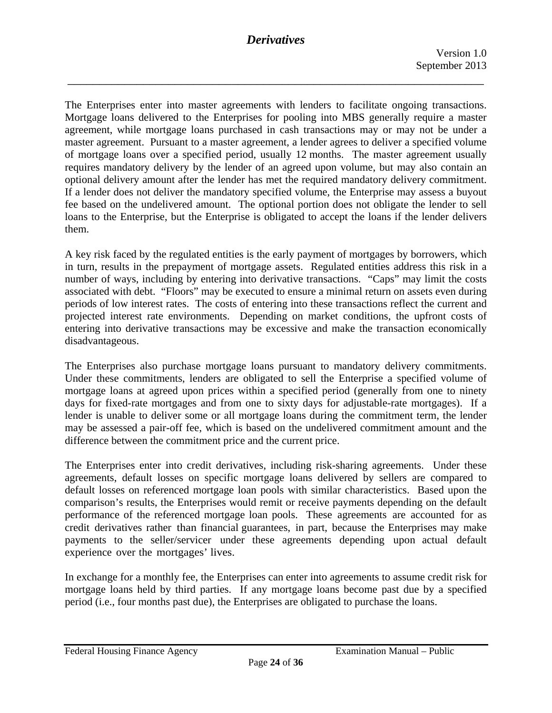\_\_\_\_\_\_\_\_\_\_\_\_\_\_\_\_\_\_\_\_\_\_\_\_\_\_\_\_\_\_\_\_\_\_\_\_\_\_\_\_\_\_\_\_\_\_\_\_\_\_\_\_\_\_\_\_\_\_\_\_\_\_\_\_\_\_

The Enterprises enter into master agreements with lenders to facilitate ongoing transactions. Mortgage loans delivered to the Enterprises for pooling into MBS generally require a master agreement, while mortgage loans purchased in cash transactions may or may not be under a master agreement. Pursuant to a master agreement, a lender agrees to deliver a specified volume of mortgage loans over a specified period, usually 12 months. The master agreement usually requires mandatory delivery by the lender of an agreed upon volume, but may also contain an optional delivery amount after the lender has met the required mandatory delivery commitment. If a lender does not deliver the mandatory specified volume, the Enterprise may assess a buyout fee based on the undelivered amount. The optional portion does not obligate the lender to sell loans to the Enterprise, but the Enterprise is obligated to accept the loans if the lender delivers them.

A key risk faced by the regulated entities is the early payment of mortgages by borrowers, which in turn, results in the prepayment of mortgage assets. Regulated entities address this risk in a number of ways, including by entering into derivative transactions. "Caps" may limit the costs associated with debt. "Floors" may be executed to ensure a minimal return on assets even during periods of low interest rates. The costs of entering into these transactions reflect the current and projected interest rate environments. Depending on market conditions, the upfront costs of entering into derivative transactions may be excessive and make the transaction economically disadvantageous.

The Enterprises also purchase mortgage loans pursuant to mandatory delivery commitments. Under these commitments, lenders are obligated to sell the Enterprise a specified volume of mortgage loans at agreed upon prices within a specified period (generally from one to ninety days for fixed-rate mortgages and from one to sixty days for adjustable-rate mortgages). If a lender is unable to deliver some or all mortgage loans during the commitment term, the lender may be assessed a pair-off fee, which is based on the undelivered commitment amount and the difference between the commitment price and the current price.

 credit derivatives rather than financial guarantees, in part, because the Enterprises may make The Enterprises enter into credit derivatives, including risk-sharing agreements. Under these agreements, default losses on specific mortgage loans delivered by sellers are compared to default losses on referenced mortgage loan pools with similar characteristics. Based upon the comparison's results, the Enterprises would remit or receive payments depending on the default performance of the referenced mortgage loan pools. These agreements are accounted for as payments to the seller/servicer under these agreements depending upon actual default experience over the mortgages' lives.

period (i.e., four months past due), the Enterprises are obligated to purchase the loans.<br>Federal Housing Finance Agency Examination Manual – Public In exchange for a monthly fee, the Enterprises can enter into agreements to assume credit risk for mortgage loans held by third parties. If any mortgage loans become past due by a specified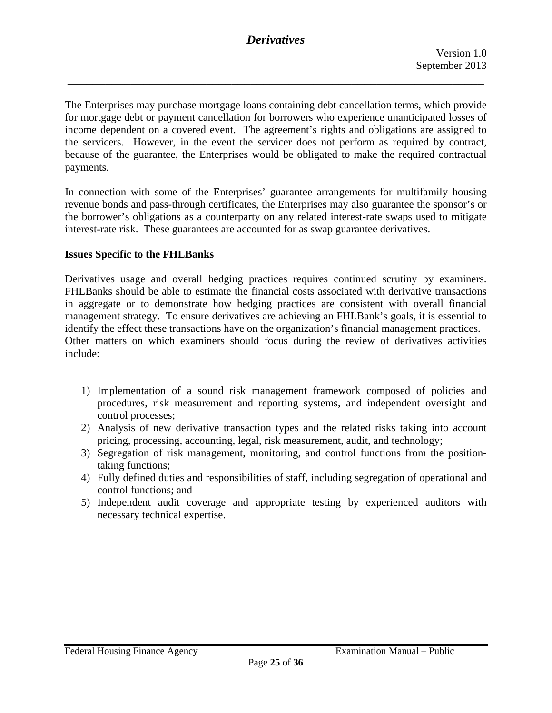\_\_\_\_\_\_\_\_\_\_\_\_\_\_\_\_\_\_\_\_\_\_\_\_\_\_\_\_\_\_\_\_\_\_\_\_\_\_\_\_\_\_\_\_\_\_\_\_\_\_\_\_\_\_\_\_\_\_\_\_\_\_\_\_\_\_

The Enterprises may purchase mortgage loans containing debt cancellation terms, which provide for mortgage debt or payment cancellation for borrowers who experience unanticipated losses of income dependent on a covered event. The agreement's rights and obligations are assigned to the servicers. However, in the event the servicer does not perform as required by contract, because of the guarantee, the Enterprises would be obligated to make the required contractual payments.

In connection with some of the Enterprises' guarantee arrangements for multifamily housing revenue bonds and pass-through certificates, the Enterprises may also guarantee the sponsor's or the borrower's obligations as a counterparty on any related interest-rate swaps used to mitigate interest-rate risk. These guarantees are accounted for as swap guarantee derivatives.

#### **Issues Specific to the FHLBanks**

Derivatives usage and overall hedging practices requires continued scrutiny by examiners. FHLBanks should be able to estimate the financial costs associated with derivative transactions in aggregate or to demonstrate how hedging practices are consistent with overall financial management strategy. To ensure derivatives are achieving an FHLBank's goals, it is essential to identify the effect these transactions have on the organization's financial management practices. Other matters on which examiners should focus during the review of derivatives activities include:

- 1) Implementation of a sound risk management framework composed of policies and procedures, risk measurement and reporting systems, and independent oversight and control processes;
- 2) Analysis of new derivative transaction types and the related risks taking into account pricing, processing, accounting, legal, risk measurement, audit, and technology;
- 3) Segregation of risk management, monitoring, and control functions from the positiontaking functions;
- 4) Fully defined duties and responsibilities of staff, including segregation of operational and control functions; and
- 5) Independent audit coverage and appropriate testing by experienced auditors with necessary technical expertise.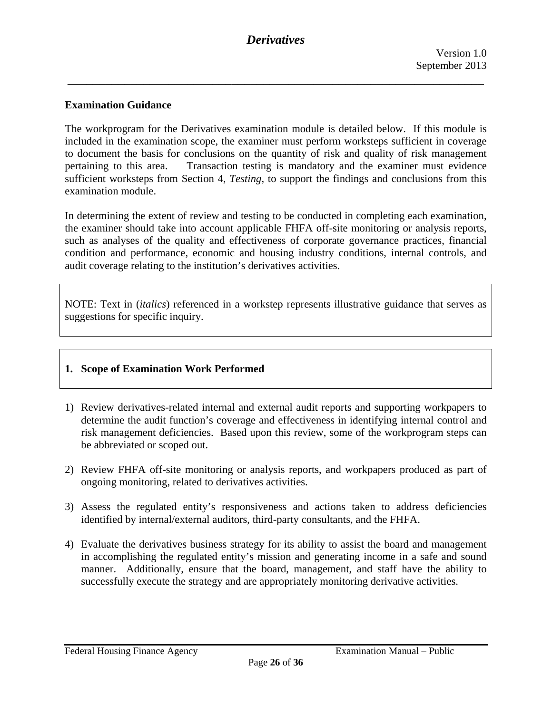\_\_\_\_\_\_\_\_\_\_\_\_\_\_\_\_\_\_\_\_\_\_\_\_\_\_\_\_\_\_\_\_\_\_\_\_\_\_\_\_\_\_\_\_\_\_\_\_\_\_\_\_\_\_\_\_\_\_\_\_\_\_\_\_\_\_

#### **Examination Guidance**

The workprogram for the Derivatives examination module is detailed below. If this module is included in the examination scope, the examiner must perform worksteps sufficient in coverage to document the basis for conclusions on the quantity of risk and quality of risk management pertaining to this area. Transaction testing is mandatory and the examiner must evidence sufficient worksteps from Section 4, *Testing,* to support the findings and conclusions from this examination module.

In determining the extent of review and testing to be conducted in completing each examination, the examiner should take into account applicable FHFA off-site monitoring or analysis reports, such as analyses of the quality and effectiveness of corporate governance practices, financial condition and performance, economic and housing industry conditions, internal controls, and audit coverage relating to the institution's derivatives activities.

NOTE: Text in (*italics*) referenced in a workstep represents illustrative guidance that serves as suggestions for specific inquiry.

#### **1. Scope of Examination Work Performed**

- 1) Review derivatives-related internal and external audit reports and supporting workpapers to determine the audit function's coverage and effectiveness in identifying internal control and risk management deficiencies. Based upon this review, some of the workprogram steps can be abbreviated or scoped out.
- 2) Review FHFA off-site monitoring or analysis reports, and workpapers produced as part of ongoing monitoring, related to derivatives activities.
- 3) Assess the regulated entity's responsiveness and actions taken to address deficiencies identified by internal/external auditors, third-party consultants, and the FHFA.
- 4) Evaluate the derivatives business strategy for its ability to assist the board and management in accomplishing the regulated entity's mission and generating income in a safe and sound manner. Additionally, ensure that the board, management, and staff have the ability to successfully execute the strategy and are appropriately monitoring derivative activities.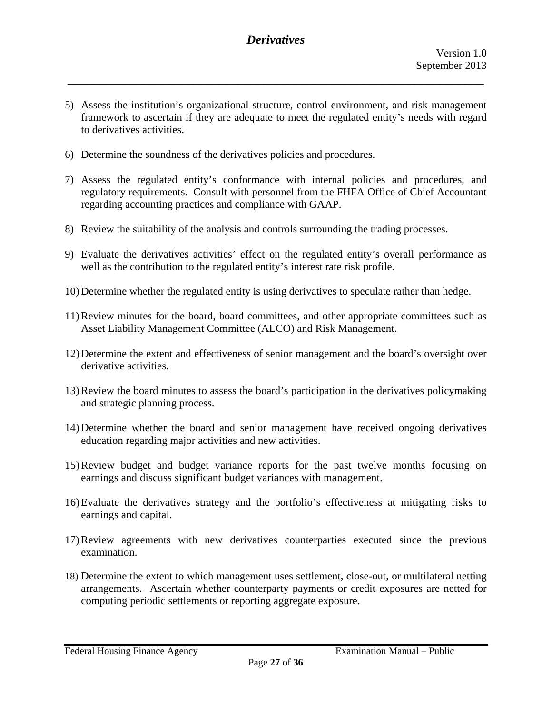5) Assess the institution's organizational structure, control environment, and risk management framework to ascertain if they are adequate to meet the regulated entity's needs with regard to derivatives activities.

\_\_\_\_\_\_\_\_\_\_\_\_\_\_\_\_\_\_\_\_\_\_\_\_\_\_\_\_\_\_\_\_\_\_\_\_\_\_\_\_\_\_\_\_\_\_\_\_\_\_\_\_\_\_\_\_\_\_\_\_\_\_\_\_\_\_

- 6) Determine the soundness of the derivatives policies and procedures.
- regarding accounting practices and compliance with GAAP. 7) Assess the regulated entity's conformance with internal policies and procedures, and regulatory requirements. Consult with personnel from the FHFA Office of Chief Accountant
- regarding accounting practices and compliance with GAAP. 8) Review the suitability of the analysis and controls surrounding the trading processes.
- 9) Evaluate the derivatives activities' effect on the regulated entity's overall performance as well as the contribution to the regulated entity's interest rate risk profile.
- 10) Determine whether the regulated entity is using derivatives to speculate rather than hedge.
- 11) Review minutes for the board, board committees, and other appropriate committees such as Asset Liability Management Committee (ALCO) and Risk Management.
- 12) Determine the extent and effectiveness of senior management and the board's oversight over derivative activities.
- 13) Review the board minutes to assess the board's participation in the derivatives policymaking and strategic planning process.
- 14) Determine whether the board and senior management have received ongoing derivatives education regarding major activities and new activities.
- 15) Review budget and budget variance reports for the past twelve months focusing on earnings and discuss significant budget variances with management.
- 16) Evaluate the derivatives strategy and the portfolio's effectiveness at mitigating risks to earnings and capital.
- 17) Review agreements with new derivatives counterparties executed since the previous examination.
- 18) Determine the extent to which management uses settlement, close-out, or multilateral netting arrangements. Ascertain whether counterparty payments or credit exposures are netted for computing periodic settlements or reporting aggregate exposure.

Federal Housing Finance Agency **Examination Manual** – Public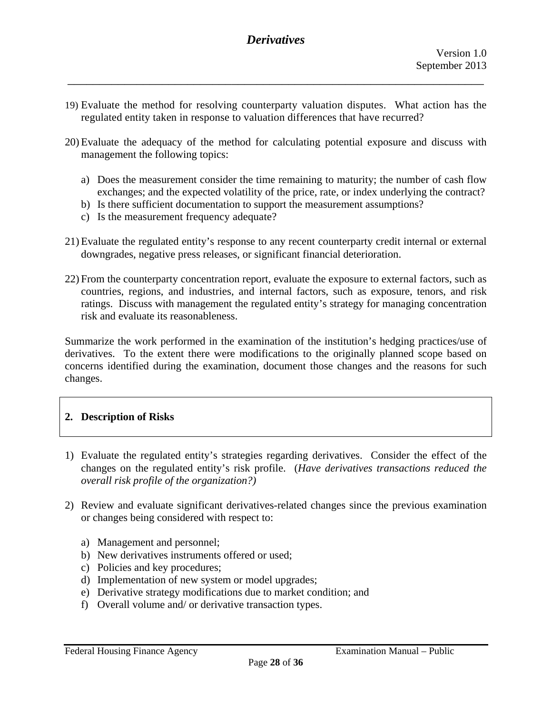19) Evaluate the method for resolving counterparty valuation disputes. What action has the regulated entity taken in response to valuation differences that have recurred?

\_\_\_\_\_\_\_\_\_\_\_\_\_\_\_\_\_\_\_\_\_\_\_\_\_\_\_\_\_\_\_\_\_\_\_\_\_\_\_\_\_\_\_\_\_\_\_\_\_\_\_\_\_\_\_\_\_\_\_\_\_\_\_\_\_\_

- 20) Evaluate the adequacy of the method for calculating potential exposure and discuss with management the following topics:
	- a) Does the measurement consider the time remaining to maturity; the number of cash flow exchanges; and the expected volatility of the price, rate, or index underlying the contract?
	- b) Is there sufficient documentation to support the measurement assumptions?
	- c) Is the measurement frequency adequate?
- 21) Evaluate the regulated entity's response to any recent counterparty credit internal or external downgrades, negative press releases, or significant financial deterioration.
- countries, regions, and industries, and internal factors, such as exposure, tenors, and risk 22) From the counterparty concentration report, evaluate the exposure to external factors, such as ratings. Discuss with management the regulated entity's strategy for managing concentration risk and evaluate its reasonableness.

Summarize the work performed in the examination of the institution's hedging practices/use of derivatives. To the extent there were modifications to the originally planned scope based on concerns identified during the examination, document those changes and the reasons for such changes.

#### **2. Description of Risks**

- 1) Evaluate the regulated entity's strategies regarding derivatives. Consider the effect of the changes on the regulated entity's risk profile. (*Have derivatives transactions reduced the overall risk profile of the organization?)*
- 2) Review and evaluate significant derivatives-related changes since the previous examination or changes being considered with respect to:
	- a) Management and personnel;
	- b) New derivatives instruments offered or used;
	- c) Policies and key procedures;
	- d) Implementation of new system or model upgrades;
	- e) Derivative strategy modifications due to market condition; and
	- f) Overall volume and/ or derivative transaction types.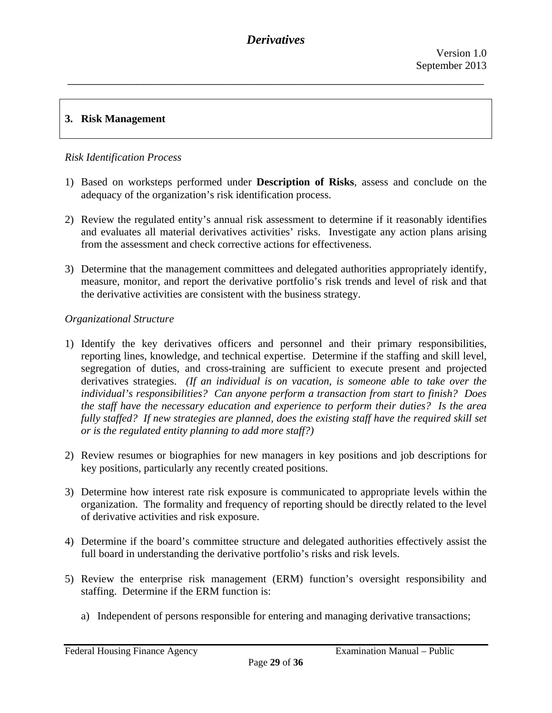### **3. Risk Management**

### *Risk Identification Process*

- 1) Based on worksteps performed under **Description of Risks**, assess and conclude on the adequacy of the organization's risk identification process.
- 2) Review the regulated entity's annual risk assessment to determine if it reasonably identifies and evaluates all material derivatives activities' risks. Investigate any action plans arising from the assessment and check corrective actions for effectiveness.
- 3) Determine that the management committees and delegated authorities appropriately identify, measure, monitor, and report the derivative portfolio's risk trends and level of risk and that the derivative activities are consistent with the business strategy.

### *Organizational Structure*

- 1) Identify the key derivatives officers and personnel and their primary responsibilities, reporting lines, knowledge, and technical expertise. Determine if the staffing and skill level, segregation of duties, and cross-training are sufficient to execute present and projected derivatives strategies. *(If an individual is on vacation, is someone able to take over the individual's responsibilities? Can anyone perform a transaction from start to finish? Does the staff have the necessary education and experience to perform their duties? Is the area fully staffed? If new strategies are planned, does the existing staff have the required skill set or is the regulated entity planning to add more staff?)*
- 2) Review resumes or biographies for new managers in key positions and job descriptions for key positions, particularly any recently created positions.
- 3) Determine how interest rate risk exposure is communicated to appropriate levels within the organization. The formality and frequency of reporting should be directly related to the level of derivative activities and risk exposure.
- 4) Determine if the board's committee structure and delegated authorities effectively assist the full board in understanding the derivative portfolio's risks and risk levels.
- 5) Review the enterprise risk management (ERM) function's oversight responsibility and staffing. Determine if the ERM function is:
	- a) Independent of persons responsible for entering and managing derivative transactions;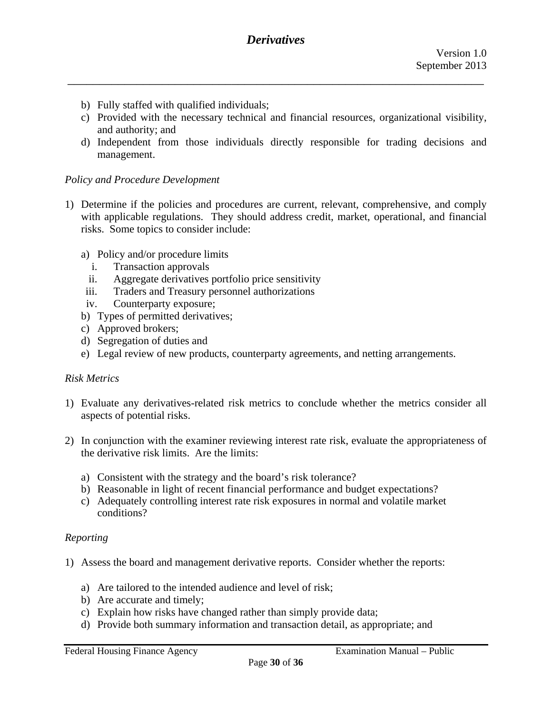- b) Fully staffed with qualified individuals;
- c) Provided with the necessary technical and financial resources, organizational visibility, and authority; and
- d) Independent from those individuals directly responsible for trading decisions and management.

#### *Policy and Procedure Development*

- 1) Determine if the policies and procedures are current, relevant, comprehensive, and comply with applicable regulations. They should address credit, market, operational, and financial risks. Some topics to consider include:
	- a) Policy and/or procedure limits
		- i. Transaction approvals
	- ii. Aggregate derivatives portfolio price sensitivity
	- iii. Traders and Treasury personnel authorizations
	- iv. Counterparty exposure;
	- b) Types of permitted derivatives;
	- c) Approved brokers;
	- d) Segregation of duties and
	- e) Legal review of new products, counterparty agreements, and netting arrangements.

#### *Risk Metrics*

- 1) Evaluate any derivatives-related risk metrics to conclude whether the metrics consider all aspects of potential risks.
- 2) In conjunction with the examiner reviewing interest rate risk, evaluate the appropriateness of the derivative risk limits. Are the limits:
	- a) Consistent with the strategy and the board's risk tolerance?
	- b) Reasonable in light of recent financial performance and budget expectations?
	- conditions? c) Adequately controlling interest rate risk exposures in normal and volatile market

#### *Reporting*

- 1) Assess the board and management derivative reports. Consider whether the reports:
	- a) Are tailored to the intended audience and level of risk;
	- b) Are accurate and timely;
	- c) Explain how risks have changed rather than simply provide data;
	- d) Provide both summary information and transaction detail, as appropriate; and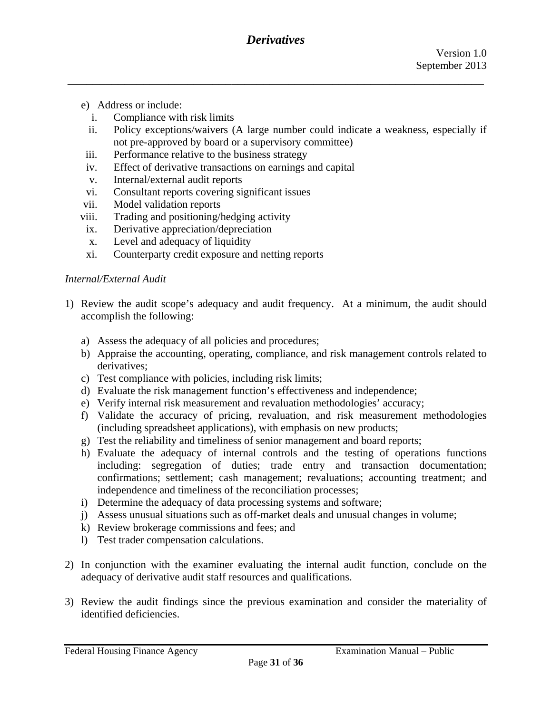- e) Address or include:
	- i. Compliance with risk limits
	- ii. Policy exceptions/waivers (A large number could indicate a weakness, especially if not pre-approved by board or a supervisory committee)
- iii. Performance relative to the business strategy
- iv. Effect of derivative transactions on earnings and capital
- v. Internal/external audit reports
- vi. Consultant reports covering significant issues
- vii. Model validation reports
- viii. Trading and positioning/hedging activity
- ix. Derivative appreciation/depreciation
- x. Level and adequacy of liquidity
- xi. Counterparty credit exposure and netting reports

### *Internal/External Audit*

- 1) Review the audit scope's adequacy and audit frequency. At a minimum, the audit should accomplish the following:
	- a) Assess the adequacy of all policies and procedures;
	- b) Appraise the accounting, operating, compliance, and risk management controls related to derivatives;
	- c) Test compliance with policies, including risk limits;
	- d) Evaluate the risk management function's effectiveness and independence;
	- e) Verify internal risk measurement and revaluation methodologies' accuracy;
	- f) Validate the accuracy of pricing, revaluation, and risk measurement methodologies (including spreadsheet applications), with emphasis on new products;
	- g) Test the reliability and timeliness of senior management and board reports;
	- h) Evaluate the adequacy of internal controls and the testing of operations functions including: segregation of duties; trade entry and transaction documentation; confirmations; settlement; cash management; revaluations; accounting treatment; and independence and timeliness of the reconciliation processes;
	- i) Determine the adequacy of data processing systems and software;
	- j) Assess unusual situations such as off-market deals and unusual changes in volume;
	- k) Review brokerage commissions and fees; and
	- l) Test trader compensation calculations.
- 2) In conjunction with the examiner evaluating the internal audit function, conclude on the adequacy of derivative audit staff resources and qualifications.
- 3) Review the audit findings since the previous examination and consider the materiality of identified deficiencies.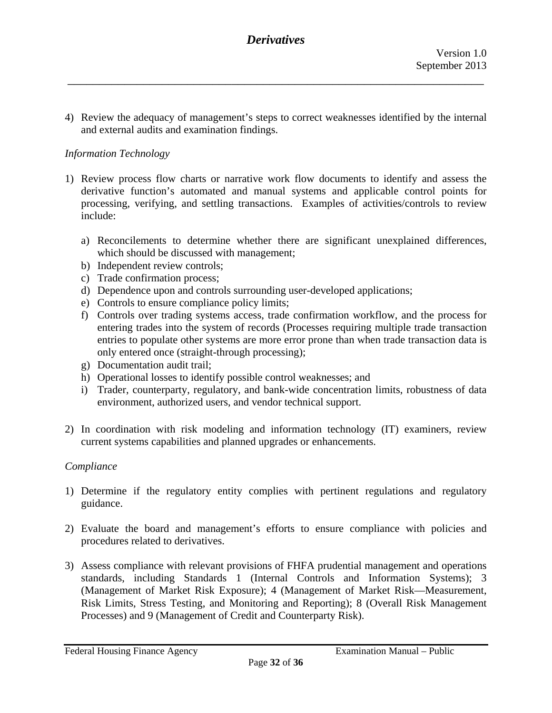4) Review the adequacy of management's steps to correct weaknesses identified by the internal and external audits and examination findings.

### *Information Technology*

- 1) Review process flow charts or narrative work flow documents to identify and assess the derivative function's automated and manual systems and applicable control points for processing, verifying, and settling transactions. Examples of activities/controls to review include:
	- a) Reconcilements to determine whether there are significant unexplained differences, which should be discussed with management;
	- b) Independent review controls;
	- c) Trade confirmation process;
	- d) Dependence upon and controls surrounding user-developed applications;
	- e) Controls to ensure compliance policy limits;
	- f) Controls over trading systems access, trade confirmation workflow, and the process for entering trades into the system of records (Processes requiring multiple trade transaction entries to populate other systems are more error prone than when trade transaction data is only entered once (straight-through processing);
	- g) Documentation audit trail;
	- h) Operational losses to identify possible control weaknesses; and
	- i) Trader, counterparty, regulatory, and bank-wide concentration limits, robustness of data environment, authorized users, and vendor technical support.
- 2) In coordination with risk modeling and information technology (IT) examiners, review current systems capabilities and planned upgrades or enhancements.

#### *Compliance*

- 1) Determine if the regulatory entity complies with pertinent regulations and regulatory guidance.
- 2) Evaluate the board and management's efforts to ensure compliance with policies and procedures related to derivatives.
- 3) Assess compliance with relevant provisions of FHFA prudential management and operations standards, including Standards 1 (Internal Controls and Information Systems); 3 (Management of Market Risk Exposure); 4 (Management of Market Risk—Measurement, Risk Limits, Stress Testing, and Monitoring and Reporting); 8 (Overall Risk Management Processes) and 9 (Management of Credit and Counterparty Risk).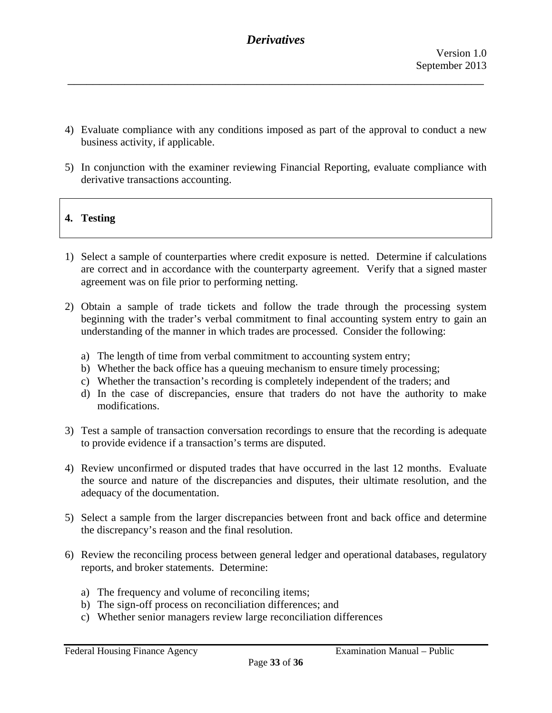- 4) Evaluate compliance with any conditions imposed as part of the approval to conduct a new business activity, if applicable.
- 5) In conjunction with the examiner reviewing Financial Reporting, evaluate compliance with derivative transactions accounting.

## **4. Testing**

- 1) Select a sample of counterparties where credit exposure is netted. Determine if calculations are correct and in accordance with the counterparty agreement. Verify that a signed master agreement was on file prior to performing netting.
- 2) Obtain a sample of trade tickets and follow the trade through the processing system beginning with the trader's verbal commitment to final accounting system entry to gain an understanding of the manner in which trades are processed. Consider the following:
	- a) The length of time from verbal commitment to accounting system entry;
	- b) Whether the back office has a queuing mechanism to ensure timely processing;
	- c) Whether the transaction's recording is completely independent of the traders; and
	- d) In the case of discrepancies, ensure that traders do not have the authority to make modifications.
- 3) Test a sample of transaction conversation recordings to ensure that the recording is adequate to provide evidence if a transaction's terms are disputed.
- 4) Review unconfirmed or disputed trades that have occurred in the last 12 months. Evaluate the source and nature of the discrepancies and disputes, their ultimate resolution, and the adequacy of the documentation.
- 5) Select a sample from the larger discrepancies between front and back office and determine the discrepancy's reason and the final resolution.
- 6) Review the reconciling process between general ledger and operational databases, regulatory reports, and broker statements. Determine:
	- a) The frequency and volume of reconciling items;
	- b) The sign-off process on reconciliation differences; and
	- c) Whether senior managers review large reconciliation differences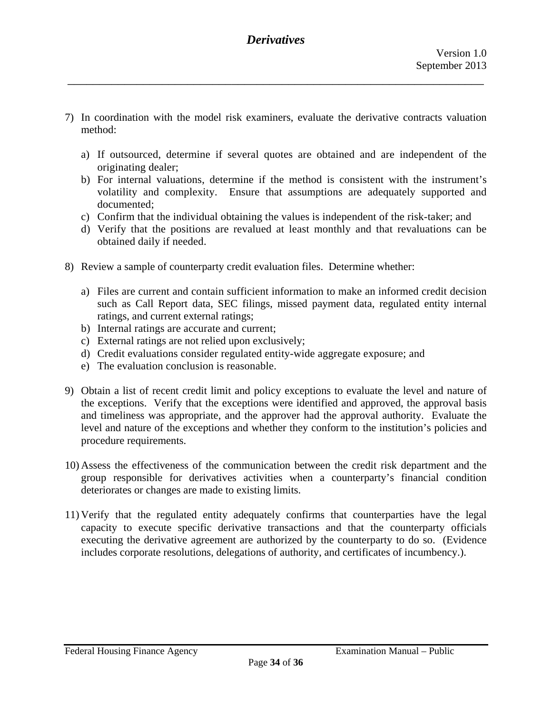7) In coordination with the model risk examiners, evaluate the derivative contracts valuation method:

\_\_\_\_\_\_\_\_\_\_\_\_\_\_\_\_\_\_\_\_\_\_\_\_\_\_\_\_\_\_\_\_\_\_\_\_\_\_\_\_\_\_\_\_\_\_\_\_\_\_\_\_\_\_\_\_\_\_\_\_\_\_\_\_\_\_

- a) If outsourced, determine if several quotes are obtained and are independent of the originating dealer;
- b) For internal valuations, determine if the method is consistent with the instrument's volatility and complexity. Ensure that assumptions are adequately supported and documented;
- c) Confirm that the individual obtaining the values is independent of the risk-taker; and
- d) Verify that the positions are revalued at least monthly and that revaluations can be obtained daily if needed.
- 8) Review a sample of counterparty credit evaluation files. Determine whether:
	- a) Files are current and contain sufficient information to make an informed credit decision such as Call Report data, SEC filings, missed payment data, regulated entity internal ratings, and current external ratings;
	- b) Internal ratings are accurate and current;
	- c) External ratings are not relied upon exclusively;
	- d) Credit evaluations consider regulated entity-wide aggregate exposure; and
	- e) The evaluation conclusion is reasonable.
- 9) Obtain a list of recent credit limit and policy exceptions to evaluate the level and nature of the exceptions. Verify that the exceptions were identified and approved, the approval basis and timeliness was appropriate, and the approver had the approval authority. Evaluate the level and nature of the exceptions and whether they conform to the institution's policies and procedure requirements.
- 10) Assess the effectiveness of the communication between the credit risk department and the group responsible for derivatives activities when a counterparty's financial condition deteriorates or changes are made to existing limits.
- 11) Verify that the regulated entity adequately confirms that counterparties have the legal capacity to execute specific derivative transactions and that the counterparty officials executing the derivative agreement are authorized by the counterparty to do so. (Evidence includes corporate resolutions, delegations of authority, and certificates of incumbency.).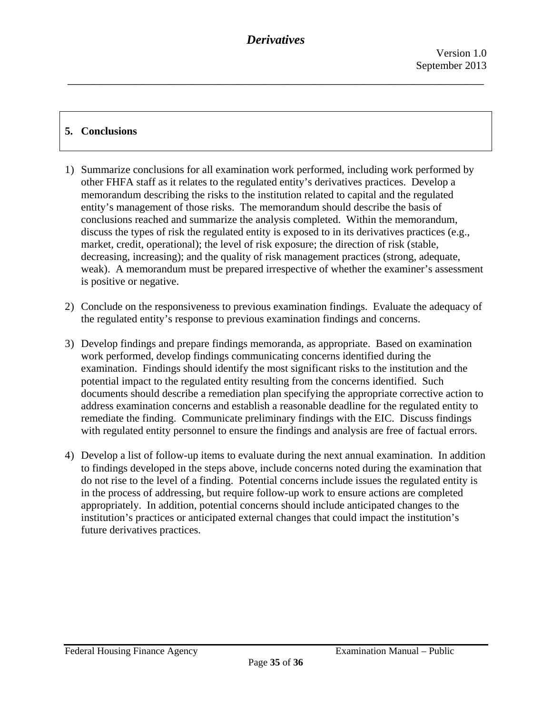## **5. Conclusions**

- 1) Summarize conclusions for all examination work performed, including work performed by other FHFA staff as it relates to the regulated entity's derivatives practices. Develop a memorandum describing the risks to the institution related to capital and the regulated entity's management of those risks. The memorandum should describe the basis of conclusions reached and summarize the analysis completed. Within the memorandum, discuss the types of risk the regulated entity is exposed to in its derivatives practices (e.g., market, credit, operational); the level of risk exposure; the direction of risk (stable, decreasing, increasing); and the quality of risk management practices (strong, adequate, weak). A memorandum must be prepared irrespective of whether the examiner's assessment is positive or negative.
- 2) Conclude on the responsiveness to previous examination findings. Evaluate the adequacy of the regulated entity's response to previous examination findings and concerns.
- 3) Develop findings and prepare findings memoranda, as appropriate. Based on examination work performed, develop findings communicating concerns identified during the examination. Findings should identify the most significant risks to the institution and the potential impact to the regulated entity resulting from the concerns identified. Such documents should describe a remediation plan specifying the appropriate corrective action to address examination concerns and establish a reasonable deadline for the regulated entity to remediate the finding. Communicate preliminary findings with the EIC. Discuss findings with regulated entity personnel to ensure the findings and analysis are free of factual errors.
- 4) Develop a list of follow-up items to evaluate during the next annual examination. In addition to findings developed in the steps above, include concerns noted during the examination that do not rise to the level of a finding. Potential concerns include issues the regulated entity is in the process of addressing, but require follow-up work to ensure actions are completed appropriately. In addition, potential concerns should include anticipated changes to the institution's practices or anticipated external changes that could impact the institution's future derivatives practices.